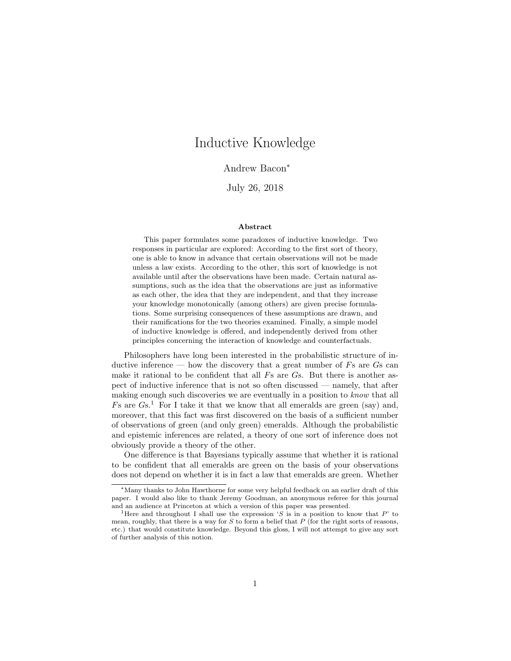# Inductive Knowledge

### Andrew Bacon<sup>∗</sup>

### July 26, 2018

#### Abstract

This paper formulates some paradoxes of inductive knowledge. Two responses in particular are explored: According to the first sort of theory, one is able to know in advance that certain observations will not be made unless a law exists. According to the other, this sort of knowledge is not available until after the observations have been made. Certain natural assumptions, such as the idea that the observations are just as informative as each other, the idea that they are independent, and that they increase your knowledge monotonically (among others) are given precise formulations. Some surprising consequences of these assumptions are drawn, and their ramifications for the two theories examined. Finally, a simple model of inductive knowledge is offered, and independently derived from other principles concerning the interaction of knowledge and counterfactuals.

Philosophers have long been interested in the probabilistic structure of inductive inference — how the discovery that a great number of  $Fs$  are  $Gs$  can make it rational to be confident that all Fs are Gs. But there is another aspect of inductive inference that is not so often discussed — namely, that after making enough such discoveries we are eventually in a position to know that all Fs are  $Gs^1$ . For I take it that we know that all emeralds are green (say) and, moreover, that this fact was first discovered on the basis of a sufficient number of observations of green (and only green) emeralds. Although the probabilistic and epistemic inferences are related, a theory of one sort of inference does not obviously provide a theory of the other.

One difference is that Bayesians typically assume that whether it is rational to be confident that all emeralds are green on the basis of your observations does not depend on whether it is in fact a law that emeralds are green. Whether

<sup>∗</sup>Many thanks to John Hawthorne for some very helpful feedback on an earlier draft of this paper. I would also like to thank Jeremy Goodman, an anonymous referee for this journal and an audience at Princeton at which a version of this paper was presented.

<sup>&</sup>lt;sup>1</sup>Here and throughout I shall use the expression 'S is in a position to know that P' to mean, roughly, that there is a way for  $S$  to form a belief that  $P$  (for the right sorts of reasons, etc.) that would constitute knowledge. Beyond this gloss, I will not attempt to give any sort of further analysis of this notion.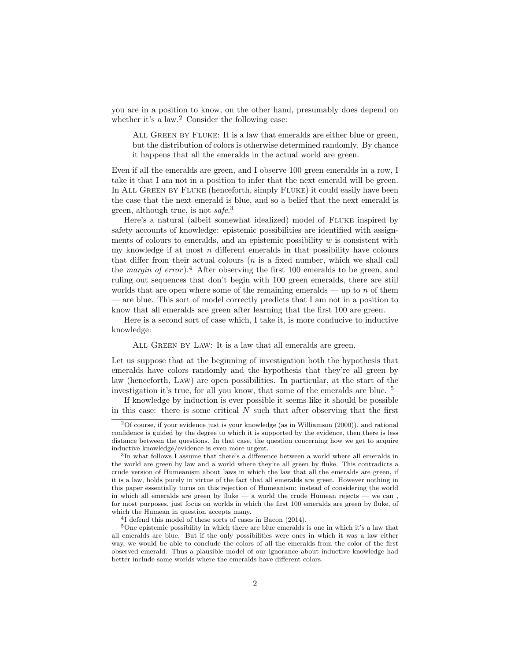you are in a position to know, on the other hand, presumably does depend on whether it's a law.<sup>2</sup> Consider the following case:

ALL GREEN BY FLUKE: It is a law that emeralds are either blue or green, but the distribution of colors is otherwise determined randomly. By chance it happens that all the emeralds in the actual world are green.

Even if all the emeralds are green, and I observe 100 green emeralds in a row, I take it that I am not in a position to infer that the next emerald will be green. In ALL GREEN BY FLUKE (henceforth, simply FLUKE) it could easily have been the case that the next emerald is blue, and so a belief that the next emerald is green, although true, is not safe.<sup>3</sup>

Here's a natural (albeit somewhat idealized) model of FLUKE inspired by safety accounts of knowledge: epistemic possibilities are identified with assignments of colours to emeralds, and an epistemic possibility  $w$  is consistent with my knowledge if at most  $n$  different emeralds in that possibility have colours that differ from their actual colours (n is a fixed number, which we shall call the margin of error).<sup>4</sup> After observing the first 100 emeralds to be green, and ruling out sequences that don't begin with 100 green emeralds, there are still worlds that are open where some of the remaining emeralds — up to  $n$  of them — are blue. This sort of model correctly predicts that I am not in a position to know that all emeralds are green after learning that the first 100 are green.

Here is a second sort of case which, I take it, is more conducive to inductive knowledge:

#### ALL GREEN BY LAW: It is a law that all emeralds are green.

Let us suppose that at the beginning of investigation both the hypothesis that emeralds have colors randomly and the hypothesis that they're all green by law (henceforth, Law) are open possibilities. In particular, at the start of the investigation it's true, for all you know, that some of the emeralds are blue. <sup>5</sup>

If knowledge by induction is ever possible it seems like it should be possible in this case: there is some critical  $N$  such that after observing that the first

 $2^2$ Of course, if your evidence just is your knowledge (as in Williamson (2000)), and rational confidence is guided by the degree to which it is supported by the evidence, then there is less distance between the questions. In that case, the question concerning how we get to acquire inductive knowledge/evidence is even more urgent.

<sup>3</sup> In what follows I assume that there's a difference between a world where all emeralds in the world are green by law and a world where they're all green by fluke. This contradicts a crude version of Humeanism about laws in which the law that all the emeralds are green, if it is a law, holds purely in virtue of the fact that all emeralds are green. However nothing in this paper essentially turns on this rejection of Humeanism: instead of considering the world in which all emeralds are green by fluke — a world the crude Humean rejects — we can , for most purposes, just focus on worlds in which the first 100 emeralds are green by fluke, of which the Humean in question accepts many.

<sup>&</sup>lt;sup>4</sup>I defend this model of these sorts of cases in Bacon (2014).

 $^5\mathrm{One}$  epistemic possibility in which there are blue emeralds is one in which it's a law that all emeralds are blue. But if the only possibilities were ones in which it was a law either way, we would be able to conclude the colors of all the emeralds from the color of the first observed emerald. Thus a plausible model of our ignorance about inductive knowledge had better include some worlds where the emeralds have different colors.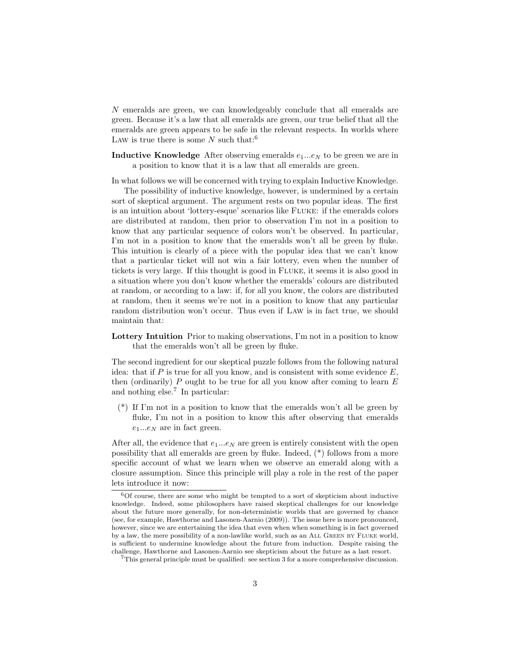N emeralds are green, we can knowledgeably conclude that all emeralds are green. Because it's a law that all emeralds are green, our true belief that all the emeralds are green appears to be safe in the relevant respects. In worlds where LAW is true there is some  $N$  such that:<sup>6</sup>

**Inductive Knowledge** After observing emeralds  $e_1...e_N$  to be green we are in a position to know that it is a law that all emeralds are green.

In what follows we will be concerned with trying to explain Inductive Knowledge.

The possibility of inductive knowledge, however, is undermined by a certain sort of skeptical argument. The argument rests on two popular ideas. The first is an intuition about 'lottery-esque' scenarios like Fluke: if the emeralds colors are distributed at random, then prior to observation I'm not in a position to know that any particular sequence of colors won't be observed. In particular, I'm not in a position to know that the emeralds won't all be green by fluke. This intuition is clearly of a piece with the popular idea that we can't know that a particular ticket will not win a fair lottery, even when the number of tickets is very large. If this thought is good in Fluke, it seems it is also good in a situation where you don't know whether the emeralds' colours are distributed at random, or according to a law: if, for all you know, the colors are distributed at random, then it seems we're not in a position to know that any particular random distribution won't occur. Thus even if Law is in fact true, we should maintain that:

Lottery Intuition Prior to making observations, I'm not in a position to know that the emeralds won't all be green by fluke.

The second ingredient for our skeptical puzzle follows from the following natural idea: that if  $P$  is true for all you know, and is consistent with some evidence  $E$ , then (ordinarily)  $P$  ought to be true for all you know after coming to learn  $E$ and nothing else.<sup>7</sup> In particular:

(\*) If I'm not in a position to know that the emeralds won't all be green by fluke, I'm not in a position to know this after observing that emeralds  $e_1...e_N$  are in fact green.

After all, the evidence that  $e_1...e_N$  are green is entirely consistent with the open possibility that all emeralds are green by fluke. Indeed, (\*) follows from a more specific account of what we learn when we observe an emerald along with a closure assumption. Since this principle will play a role in the rest of the paper lets introduce it now:

 $6$ Of course, there are some who might be tempted to a sort of skepticism about inductive knowledge. Indeed, some philosophers have raised skeptical challenges for our knowledge about the future more generally, for non-deterministic worlds that are governed by chance (see, for example, Hawthorne and Lasonen-Aarnio (2009)). The issue here is more pronounced, however, since we are entertaining the idea that even when when something is in fact governed by a law, the mere possibility of a non-lawlike world, such as an All Green by Fluke world, is sufficient to undermine knowledge about the future from induction. Despite raising the challenge, Hawthorne and Lasonen-Aarnio see skepticism about the future as a last resort.

 $7$ This general principle must be qualified: see section 3 for a more comprehensive discussion.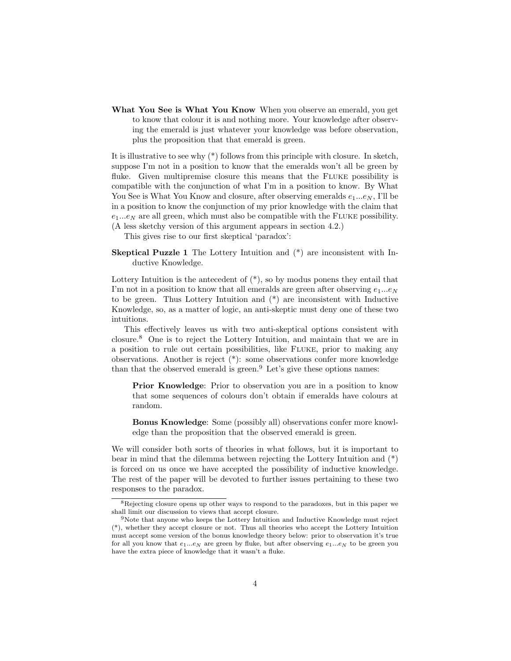What You See is What You Know When you observe an emerald, you get to know that colour it is and nothing more. Your knowledge after observing the emerald is just whatever your knowledge was before observation, plus the proposition that that emerald is green.

It is illustrative to see why (\*) follows from this principle with closure. In sketch, suppose I'm not in a position to know that the emeralds won't all be green by fluke. Given multipremise closure this means that the FLUKE possibility is compatible with the conjunction of what I'm in a position to know. By What You See is What You Know and closure, after observing emeralds  $e_1...e_N$ , I'll be in a position to know the conjunction of my prior knowledge with the claim that  $e_1...e_N$  are all green, which must also be compatible with the FLUKE possibility. (A less sketchy version of this argument appears in section 4.2.)

This gives rise to our first skeptical 'paradox':

Skeptical Puzzle 1 The Lottery Intuition and  $(*)$  are inconsistent with Inductive Knowledge.

Lottery Intuition is the antecedent of  $(*)$ , so by modus ponens they entail that I'm not in a position to know that all emeralds are green after observing  $e_1...e_N$ to be green. Thus Lottery Intuition and (\*) are inconsistent with Inductive Knowledge, so, as a matter of logic, an anti-skeptic must deny one of these two intuitions.

This effectively leaves us with two anti-skeptical options consistent with closure.<sup>8</sup> One is to reject the Lottery Intuition, and maintain that we are in a position to rule out certain possibilities, like Fluke, prior to making any observations. Another is reject (\*): some observations confer more knowledge than that the observed emerald is green.<sup>9</sup> Let's give these options names:

Prior Knowledge: Prior to observation you are in a position to know that some sequences of colours don't obtain if emeralds have colours at random.

Bonus Knowledge: Some (possibly all) observations confer more knowledge than the proposition that the observed emerald is green.

We will consider both sorts of theories in what follows, but it is important to bear in mind that the dilemma between rejecting the Lottery Intuition and (\*) is forced on us once we have accepted the possibility of inductive knowledge. The rest of the paper will be devoted to further issues pertaining to these two responses to the paradox.

<sup>8</sup>Rejecting closure opens up other ways to respond to the paradoxes, but in this paper we shall limit our discussion to views that accept closure.

<sup>9</sup>Note that anyone who keeps the Lottery Intuition and Inductive Knowledge must reject (\*), whether they accept closure or not. Thus all theories who accept the Lottery Intuition must accept some version of the bonus knowledge theory below: prior to observation it's true for all you know that  $e_1...e_N$  are green by fluke, but after observing  $e_1...e_N$  to be green you have the extra piece of knowledge that it wasn't a fluke.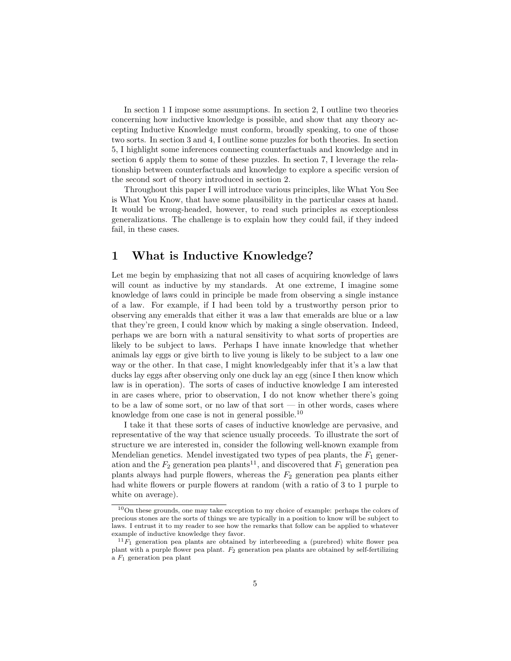In section 1 I impose some assumptions. In section 2, I outline two theories concerning how inductive knowledge is possible, and show that any theory accepting Inductive Knowledge must conform, broadly speaking, to one of those two sorts. In section 3 and 4, I outline some puzzles for both theories. In section 5, I highlight some inferences connecting counterfactuals and knowledge and in section 6 apply them to some of these puzzles. In section 7, I leverage the relationship between counterfactuals and knowledge to explore a specific version of the second sort of theory introduced in section 2.

Throughout this paper I will introduce various principles, like What You See is What You Know, that have some plausibility in the particular cases at hand. It would be wrong-headed, however, to read such principles as exceptionless generalizations. The challenge is to explain how they could fail, if they indeed fail, in these cases.

# 1 What is Inductive Knowledge?

Let me begin by emphasizing that not all cases of acquiring knowledge of laws will count as inductive by my standards. At one extreme, I imagine some knowledge of laws could in principle be made from observing a single instance of a law. For example, if I had been told by a trustworthy person prior to observing any emeralds that either it was a law that emeralds are blue or a law that they're green, I could know which by making a single observation. Indeed, perhaps we are born with a natural sensitivity to what sorts of properties are likely to be subject to laws. Perhaps I have innate knowledge that whether animals lay eggs or give birth to live young is likely to be subject to a law one way or the other. In that case, I might knowledgeably infer that it's a law that ducks lay eggs after observing only one duck lay an egg (since I then know which law is in operation). The sorts of cases of inductive knowledge I am interested in are cases where, prior to observation, I do not know whether there's going to be a law of some sort, or no law of that sort — in other words, cases where knowledge from one case is not in general possible.<sup>10</sup>

I take it that these sorts of cases of inductive knowledge are pervasive, and representative of the way that science usually proceeds. To illustrate the sort of structure we are interested in, consider the following well-known example from Mendelian genetics. Mendel investigated two types of pea plants, the  $F_1$  generation and the  $F_2$  generation pea plants<sup>11</sup>, and discovered that  $F_1$  generation pea plants always had purple flowers, whereas the  $F_2$  generation pea plants either had white flowers or purple flowers at random (with a ratio of 3 to 1 purple to white on average).

<sup>10</sup>On these grounds, one may take exception to my choice of example: perhaps the colors of precious stones are the sorts of things we are typically in a position to know will be subject to laws. I entrust it to my reader to see how the remarks that follow can be applied to whatever example of inductive knowledge they favor.

 $11F_1$  generation pea plants are obtained by interbreeding a (purebred) white flower pea plant with a purple flower pea plant.  $F_2$  generation pea plants are obtained by self-fertilizing a  $F_1$  generation pea plant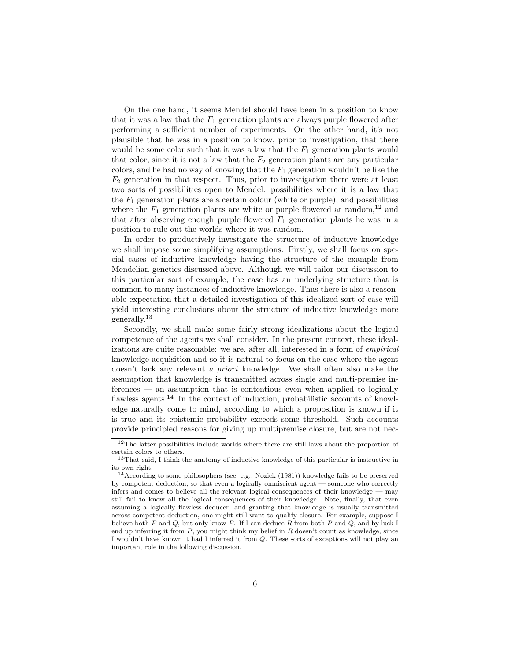On the one hand, it seems Mendel should have been in a position to know that it was a law that the  $F_1$  generation plants are always purple flowered after performing a sufficient number of experiments. On the other hand, it's not plausible that he was in a position to know, prior to investigation, that there would be some color such that it was a law that the  $F_1$  generation plants would that color, since it is not a law that the  $F_2$  generation plants are any particular colors, and he had no way of knowing that the  $F_1$  generation wouldn't be like the  $F_2$  generation in that respect. Thus, prior to investigation there were at least two sorts of possibilities open to Mendel: possibilities where it is a law that the  $F_1$  generation plants are a certain colour (white or purple), and possibilities where the  $F_1$  generation plants are white or purple flowered at random,<sup>12</sup> and that after observing enough purple flowered  $F_1$  generation plants he was in a position to rule out the worlds where it was random.

In order to productively investigate the structure of inductive knowledge we shall impose some simplifying assumptions. Firstly, we shall focus on special cases of inductive knowledge having the structure of the example from Mendelian genetics discussed above. Although we will tailor our discussion to this particular sort of example, the case has an underlying structure that is common to many instances of inductive knowledge. Thus there is also a reasonable expectation that a detailed investigation of this idealized sort of case will yield interesting conclusions about the structure of inductive knowledge more generally.<sup>13</sup>

Secondly, we shall make some fairly strong idealizations about the logical competence of the agents we shall consider. In the present context, these idealizations are quite reasonable: we are, after all, interested in a form of empirical knowledge acquisition and so it is natural to focus on the case where the agent doesn't lack any relevant a priori knowledge. We shall often also make the assumption that knowledge is transmitted across single and multi-premise inferences — an assumption that is contentious even when applied to logically flawless agents.<sup>14</sup> In the context of induction, probabilistic accounts of knowledge naturally come to mind, according to which a proposition is known if it is true and its epistemic probability exceeds some threshold. Such accounts provide principled reasons for giving up multipremise closure, but are not nec-

<sup>&</sup>lt;sup>12</sup>The latter possibilities include worlds where there are still laws about the proportion of certain colors to others.

<sup>&</sup>lt;sup>13</sup>That said, I think the anatomy of inductive knowledge of this particular is instructive in its own right.

<sup>14</sup>According to some philosophers (see, e.g., Nozick (1981)) knowledge fails to be preserved by competent deduction, so that even a logically omniscient agent — someone who correctly infers and comes to believe all the relevant logical consequences of their knowledge — may still fail to know all the logical consequences of their knowledge. Note, finally, that even assuming a logically flawless deducer, and granting that knowledge is usually transmitted across competent deduction, one might still want to qualify closure. For example, suppose I believe both  $P$  and  $Q$ , but only know  $P$ . If I can deduce  $R$  from both  $P$  and  $Q$ , and by luck I end up inferring it from  $P$ , you might think my belief in  $R$  doesn't count as knowledge, since I wouldn't have known it had I inferred it from Q. These sorts of exceptions will not play an important role in the following discussion.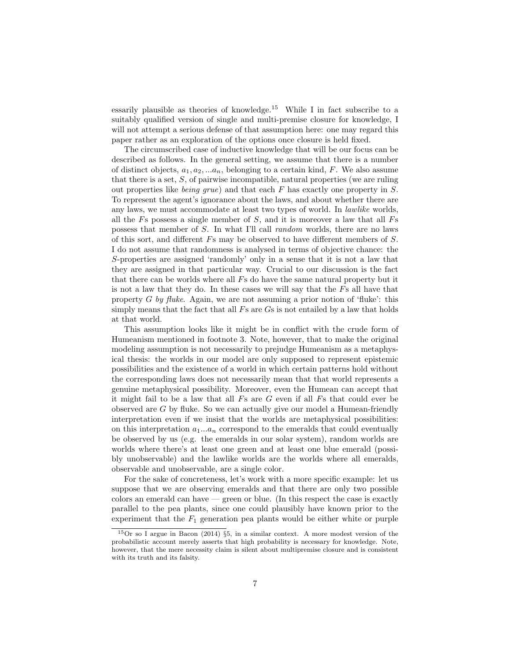essarily plausible as theories of knowledge.<sup>15</sup> While I in fact subscribe to a suitably qualified version of single and multi-premise closure for knowledge, I will not attempt a serious defense of that assumption here: one may regard this paper rather as an exploration of the options once closure is held fixed.

The circumscribed case of inductive knowledge that will be our focus can be described as follows. In the general setting, we assume that there is a number of distinct objects,  $a_1, a_2, \ldots, a_n$ , belonging to a certain kind, F. We also assume that there is a set,  $S$ , of pairwise incompatible, natural properties (we are ruling out properties like *being grue*) and that each  $F$  has exactly one property in  $S$ . To represent the agent's ignorance about the laws, and about whether there are any laws, we must accommodate at least two types of world. In lawlike worlds, all the  $Fs$  possess a single member of  $S$ , and it is moreover a law that all  $Fs$ possess that member of S. In what I'll call random worlds, there are no laws of this sort, and different Fs may be observed to have different members of S. I do not assume that randomness is analysed in terms of objective chance: the S-properties are assigned 'randomly' only in a sense that it is not a law that they are assigned in that particular way. Crucial to our discussion is the fact that there can be worlds where all Fs do have the same natural property but it is not a law that they do. In these cases we will say that the Fs all have that property G by fluke. Again, we are not assuming a prior notion of 'fluke': this simply means that the fact that all  $Fs$  are  $Gs$  is not entailed by a law that holds at that world.

This assumption looks like it might be in conflict with the crude form of Humeanism mentioned in footnote 3. Note, however, that to make the original modeling assumption is not necessarily to prejudge Humeanism as a metaphysical thesis: the worlds in our model are only supposed to represent epistemic possibilities and the existence of a world in which certain patterns hold without the corresponding laws does not necessarily mean that that world represents a genuine metaphysical possibility. Moreover, even the Humean can accept that it might fail to be a law that all  $Fs$  are  $G$  even if all  $Fs$  that could ever be observed are  $G$  by fluke. So we can actually give our model a Humean-friendly interpretation even if we insist that the worlds are metaphysical possibilities: on this interpretation  $a_1...a_n$  correspond to the emeralds that could eventually be observed by us (e.g. the emeralds in our solar system), random worlds are worlds where there's at least one green and at least one blue emerald (possibly unobservable) and the lawlike worlds are the worlds where all emeralds, observable and unobservable, are a single color.

For the sake of concreteness, let's work with a more specific example: let us suppose that we are observing emeralds and that there are only two possible colors an emerald can have — green or blue. (In this respect the case is exactly parallel to the pea plants, since one could plausibly have known prior to the experiment that the  $F_1$  generation pea plants would be either white or purple

<sup>15</sup>Or so I argue in Bacon (2014) §5, in a similar context. A more modest version of the probabilistic account merely asserts that high probability is necessary for knowledge. Note, however, that the mere necessity claim is silent about multipremise closure and is consistent with its truth and its falsity.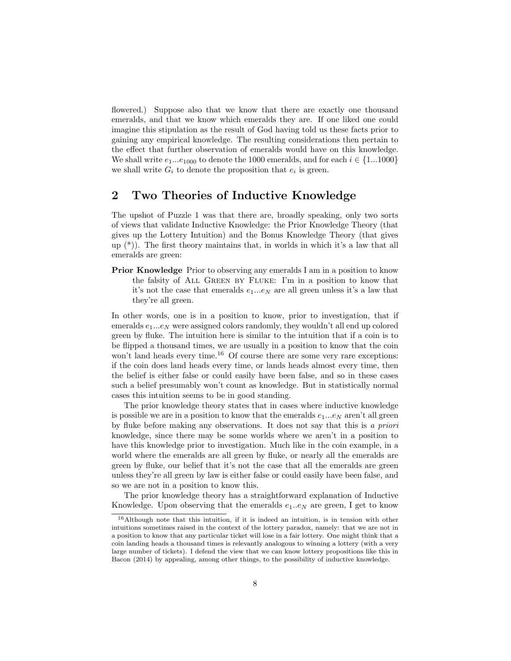flowered.) Suppose also that we know that there are exactly one thousand emeralds, and that we know which emeralds they are. If one liked one could imagine this stipulation as the result of God having told us these facts prior to gaining any empirical knowledge. The resulting considerations then pertain to the effect that further observation of emeralds would have on this knowledge. We shall write  $e_1...e_{1000}$  to denote the 1000 emeralds, and for each  $i \in \{1...1000\}$ we shall write  $G_i$  to denote the proposition that  $e_i$  is green.

# 2 Two Theories of Inductive Knowledge

The upshot of Puzzle 1 was that there are, broadly speaking, only two sorts of views that validate Inductive Knowledge: the Prior Knowledge Theory (that gives up the Lottery Intuition) and the Bonus Knowledge Theory (that gives up (\*)). The first theory maintains that, in worlds in which it's a law that all emeralds are green:

Prior Knowledge Prior to observing any emeralds I am in a position to know the falsity of All Green by Fluke: I'm in a position to know that it's not the case that emeralds  $e_1...e_N$  are all green unless it's a law that they're all green.

In other words, one is in a position to know, prior to investigation, that if emeralds  $e_1...e_N$  were assigned colors randomly, they wouldn't all end up colored green by fluke. The intuition here is similar to the intuition that if a coin is to be flipped a thousand times, we are usually in a position to know that the coin won't land heads every time.<sup>16</sup> Of course there are some very rare exceptions: if the coin does land heads every time, or lands heads almost every time, then the belief is either false or could easily have been false, and so in these cases such a belief presumably won't count as knowledge. But in statistically normal cases this intuition seems to be in good standing.

The prior knowledge theory states that in cases where inductive knowledge is possible we are in a position to know that the emeralds  $e_1...e_N$  aren't all green by fluke before making any observations. It does not say that this is a priori knowledge, since there may be some worlds where we aren't in a position to have this knowledge prior to investigation. Much like in the coin example, in a world where the emeralds are all green by fluke, or nearly all the emeralds are green by fluke, our belief that it's not the case that all the emeralds are green unless they're all green by law is either false or could easily have been false, and so we are not in a position to know this.

The prior knowledge theory has a straightforward explanation of Inductive Knowledge. Upon observing that the emeralds  $e_1...e_N$  are green, I get to know

<sup>16</sup>Although note that this intuition, if it is indeed an intuition, is in tension with other intuitions sometimes raised in the context of the lottery paradox, namely: that we are not in a position to know that any particular ticket will lose in a fair lottery. One might think that a coin landing heads a thousand times is relevantly analogous to winning a lottery (with a very large number of tickets). I defend the view that we can know lottery propositions like this in Bacon (2014) by appealing, among other things, to the possibility of inductive knowledge.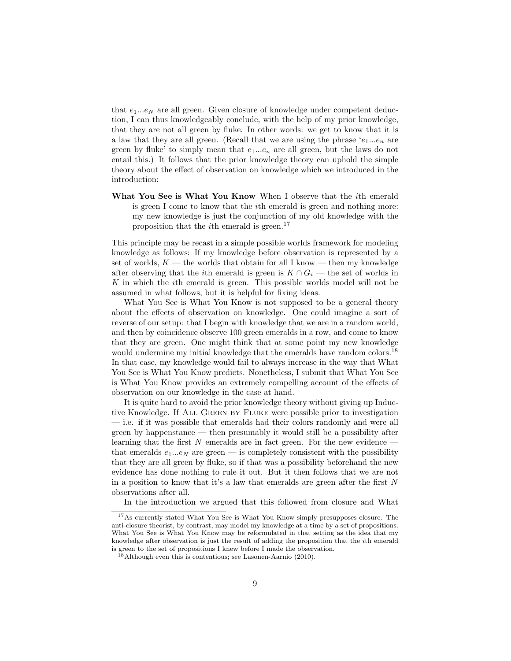that  $e_1...e_N$  are all green. Given closure of knowledge under competent deduction, I can thus knowledgeably conclude, with the help of my prior knowledge, that they are not all green by fluke. In other words: we get to know that it is a law that they are all green. (Recall that we are using the phrase  $'e_1...e_n$  are green by fluke' to simply mean that  $e_1...e_n$  are all green, but the laws do not entail this.) It follows that the prior knowledge theory can uphold the simple theory about the effect of observation on knowledge which we introduced in the introduction:

What You See is What You Know When I observe that the *i*th emerald is green I come to know that the ith emerald is green and nothing more: my new knowledge is just the conjunction of my old knowledge with the proposition that the ith emerald is green.<sup>17</sup>

This principle may be recast in a simple possible worlds framework for modeling knowledge as follows: If my knowledge before observation is represented by a set of worlds,  $K$  — the worlds that obtain for all I know — then my knowledge after observing that the *i*th emerald is green is  $K \cap G_i$  — the set of worlds in  $K$  in which the *i*th emerald is green. This possible worlds model will not be assumed in what follows, but it is helpful for fixing ideas.

What You See is What You Know is not supposed to be a general theory about the effects of observation on knowledge. One could imagine a sort of reverse of our setup: that I begin with knowledge that we are in a random world, and then by coincidence observe 100 green emeralds in a row, and come to know that they are green. One might think that at some point my new knowledge would undermine my initial knowledge that the emeralds have random colors.<sup>18</sup> In that case, my knowledge would fail to always increase in the way that What You See is What You Know predicts. Nonetheless, I submit that What You See is What You Know provides an extremely compelling account of the effects of observation on our knowledge in the case at hand.

It is quite hard to avoid the prior knowledge theory without giving up Inductive Knowledge. If All Green by Fluke were possible prior to investigation — i.e. if it was possible that emeralds had their colors randomly and were all green by happenstance — then presumably it would still be a possibility after learning that the first N emeralds are in fact green. For the new evidence  $$ that emeralds  $e_1...e_N$  are green — is completely consistent with the possibility that they are all green by fluke, so if that was a possibility beforehand the new evidence has done nothing to rule it out. But it then follows that we are not in a position to know that it's a law that emeralds are green after the first  $N$ observations after all.

In the introduction we argued that this followed from closure and What

<sup>17</sup>As currently stated What You See is What You Know simply presupposes closure. The anti-closure theorist, by contrast, may model my knowledge at a time by a set of propositions. What You See is What You Know may be reformulated in that setting as the idea that my knowledge after observation is just the result of adding the proposition that the ith emerald is green to the set of propositions I knew before I made the observation.

 $3$ Although even this is contentious; see Lasonen-Aarnio (2010).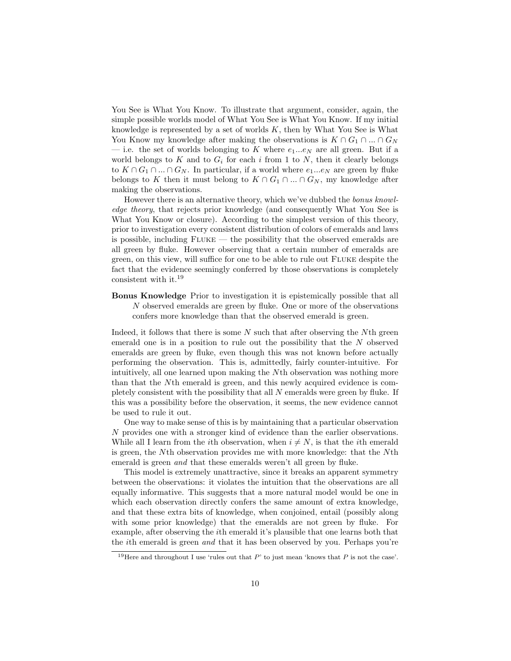You See is What You Know. To illustrate that argument, consider, again, the simple possible worlds model of What You See is What You Know. If my initial knowledge is represented by a set of worlds  $K$ , then by What You See is What You Know my knowledge after making the observations is  $K \cap G_1 \cap ... \cap G_N$ — i.e. the set of worlds belonging to K where  $e_1...e_N$  are all green. But if a world belongs to  $K$  and to  $G_i$  for each i from 1 to  $N$ , then it clearly belongs to  $K \cap G_1 \cap ... \cap G_N$ . In particular, if a world where  $e_1...e_N$  are green by fluke belongs to K then it must belong to  $K \cap G_1 \cap ... \cap G_N$ , my knowledge after making the observations.

However there is an alternative theory, which we've dubbed the bonus knowledge theory, that rejects prior knowledge (and consequently What You See is What You Know or closure). According to the simplest version of this theory, prior to investigation every consistent distribution of colors of emeralds and laws is possible, including Fluke — the possibility that the observed emeralds are all green by fluke. However observing that a certain number of emeralds are green, on this view, will suffice for one to be able to rule out Fluke despite the fact that the evidence seemingly conferred by those observations is completely consistent with it.<sup>19</sup>

Bonus Knowledge Prior to investigation it is epistemically possible that all N observed emeralds are green by fluke. One or more of the observations confers more knowledge than that the observed emerald is green.

Indeed, it follows that there is some  $N$  such that after observing the  $N$ th green emerald one is in a position to rule out the possibility that the N observed emeralds are green by fluke, even though this was not known before actually performing the observation. This is, admittedly, fairly counter-intuitive. For intuitively, all one learned upon making the Nth observation was nothing more than that the Nth emerald is green, and this newly acquired evidence is completely consistent with the possibility that all N emeralds were green by fluke. If this was a possibility before the observation, it seems, the new evidence cannot be used to rule it out.

One way to make sense of this is by maintaining that a particular observation N provides one with a stronger kind of evidence than the earlier observations. While all I learn from the *i*th observation, when  $i \neq N$ , is that the *i*th emerald is green, the Nth observation provides me with more knowledge: that the Nth emerald is green and that these emeralds weren't all green by fluke.

This model is extremely unattractive, since it breaks an apparent symmetry between the observations: it violates the intuition that the observations are all equally informative. This suggests that a more natural model would be one in which each observation directly confers the same amount of extra knowledge, and that these extra bits of knowledge, when conjoined, entail (possibly along with some prior knowledge) that the emeralds are not green by fluke. For example, after observing the ith emerald it's plausible that one learns both that the ith emerald is green and that it has been observed by you. Perhaps you're

<sup>&</sup>lt;sup>19</sup>Here and throughout I use 'rules out that  $P'$  to just mean 'knows that  $P$  is not the case'.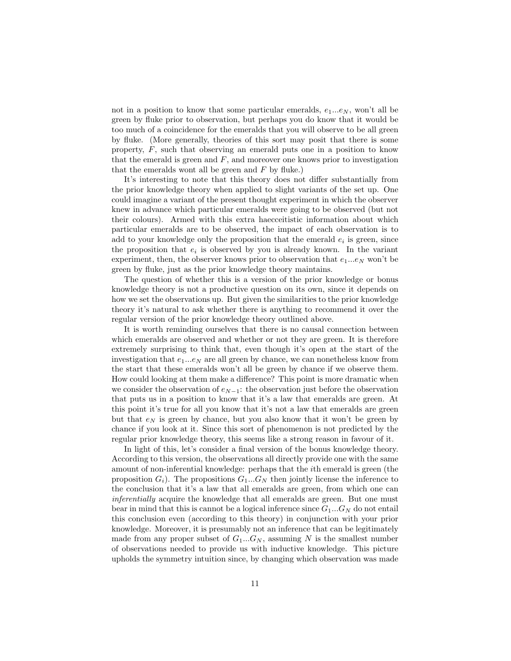not in a position to know that some particular emeralds,  $e_1...e_N$ , won't all be green by fluke prior to observation, but perhaps you do know that it would be too much of a coincidence for the emeralds that you will observe to be all green by fluke. (More generally, theories of this sort may posit that there is some property,  $F$ , such that observing an emerald puts one in a position to know that the emerald is green and  $F$ , and moreover one knows prior to investigation that the emeralds wont all be green and  $F$  by fluke.)

It's interesting to note that this theory does not differ substantially from the prior knowledge theory when applied to slight variants of the set up. One could imagine a variant of the present thought experiment in which the observer knew in advance which particular emeralds were going to be observed (but not their colours). Armed with this extra haecceitistic information about which particular emeralds are to be observed, the impact of each observation is to add to your knowledge only the proposition that the emerald  $e_i$  is green, since the proposition that  $e_i$  is observed by you is already known. In the variant experiment, then, the observer knows prior to observation that  $e_1...e_N$  won't be green by fluke, just as the prior knowledge theory maintains.

The question of whether this is a version of the prior knowledge or bonus knowledge theory is not a productive question on its own, since it depends on how we set the observations up. But given the similarities to the prior knowledge theory it's natural to ask whether there is anything to recommend it over the regular version of the prior knowledge theory outlined above.

It is worth reminding ourselves that there is no causal connection between which emeralds are observed and whether or not they are green. It is therefore extremely surprising to think that, even though it's open at the start of the investigation that  $e_1...e_N$  are all green by chance, we can nonetheless know from the start that these emeralds won't all be green by chance if we observe them. How could looking at them make a difference? This point is more dramatic when we consider the observation of  $e_{N-1}$ : the observation just before the observation that puts us in a position to know that it's a law that emeralds are green. At this point it's true for all you know that it's not a law that emeralds are green but that  $e_N$  is green by chance, but you also know that it won't be green by chance if you look at it. Since this sort of phenomenon is not predicted by the regular prior knowledge theory, this seems like a strong reason in favour of it.

In light of this, let's consider a final version of the bonus knowledge theory. According to this version, the observations all directly provide one with the same amount of non-inferential knowledge: perhaps that the ith emerald is green (the proposition  $G_i$ ). The propositions  $G_1...G_N$  then jointly license the inference to the conclusion that it's a law that all emeralds are green, from which one can inferentially acquire the knowledge that all emeralds are green. But one must bear in mind that this is cannot be a logical inference since  $G_1...G_N$  do not entail this conclusion even (according to this theory) in conjunction with your prior knowledge. Moreover, it is presumably not an inference that can be legitimately made from any proper subset of  $G_1...G_N$ , assuming N is the smallest number of observations needed to provide us with inductive knowledge. This picture upholds the symmetry intuition since, by changing which observation was made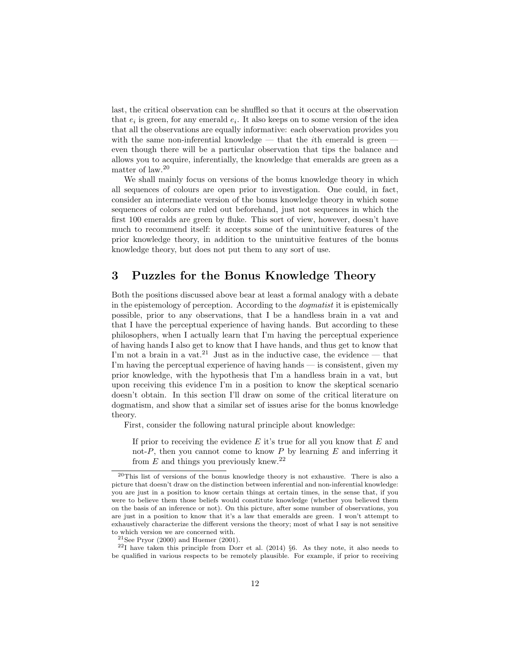last, the critical observation can be shuffled so that it occurs at the observation that  $e_i$  is green, for any emerald  $e_i$ . It also keeps on to some version of the idea that all the observations are equally informative: each observation provides you with the same non-inferential knowledge — that the  $i$ th emerald is green – even though there will be a particular observation that tips the balance and allows you to acquire, inferentially, the knowledge that emeralds are green as a matter of law.<sup>20</sup>

We shall mainly focus on versions of the bonus knowledge theory in which all sequences of colours are open prior to investigation. One could, in fact, consider an intermediate version of the bonus knowledge theory in which some sequences of colors are ruled out beforehand, just not sequences in which the first 100 emeralds are green by fluke. This sort of view, however, doesn't have much to recommend itself: it accepts some of the unintuitive features of the prior knowledge theory, in addition to the unintuitive features of the bonus knowledge theory, but does not put them to any sort of use.

# 3 Puzzles for the Bonus Knowledge Theory

Both the positions discussed above bear at least a formal analogy with a debate in the epistemology of perception. According to the dogmatist it is epistemically possible, prior to any observations, that I be a handless brain in a vat and that I have the perceptual experience of having hands. But according to these philosophers, when I actually learn that I'm having the perceptual experience of having hands I also get to know that I have hands, and thus get to know that I'm not a brain in a vat.<sup>21</sup> Just as in the inductive case, the evidence — that I'm having the perceptual experience of having hands — is consistent, given my prior knowledge, with the hypothesis that I'm a handless brain in a vat, but upon receiving this evidence I'm in a position to know the skeptical scenario doesn't obtain. In this section I'll draw on some of the critical literature on dogmatism, and show that a similar set of issues arise for the bonus knowledge theory.

First, consider the following natural principle about knowledge:

If prior to receiving the evidence  $E$  it's true for all you know that  $E$  and not-P, then you cannot come to know P by learning  $E$  and inferring it from  $E$  and things you previously knew.<sup>22</sup>

<sup>21</sup>See Pryor (2000) and Huemer (2001).

<sup>20</sup>This list of versions of the bonus knowledge theory is not exhaustive. There is also a picture that doesn't draw on the distinction between inferential and non-inferential knowledge: you are just in a position to know certain things at certain times, in the sense that, if you were to believe them those beliefs would constitute knowledge (whether you believed them on the basis of an inference or not). On this picture, after some number of observations, you are just in a position to know that it's a law that emeralds are green. I won't attempt to exhaustively characterize the different versions the theory; most of what I say is not sensitive to which version we are concerned with.

<sup>22</sup>I have taken this principle from Dorr et al. (2014) §6. As they note, it also needs to be qualified in various respects to be remotely plausible. For example, if prior to receiving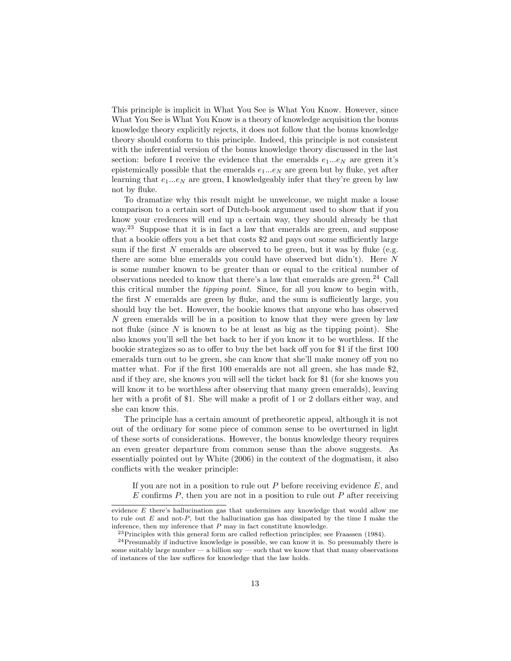This principle is implicit in What You See is What You Know. However, since What You See is What You Know is a theory of knowledge acquisition the bonus knowledge theory explicitly rejects, it does not follow that the bonus knowledge theory should conform to this principle. Indeed, this principle is not consistent with the inferential version of the bonus knowledge theory discussed in the last section: before I receive the evidence that the emeralds  $e_1...e_N$  are green it's epistemically possible that the emeralds  $e_1...e_N$  are green but by fluke, yet after learning that  $e_1...e_N$  are green, I knowledgeably infer that they're green by law not by fluke.

To dramatize why this result might be unwelcome, we might make a loose comparison to a certain sort of Dutch-book argument used to show that if you know your credences will end up a certain way, they should already be that way.<sup>23</sup> Suppose that it is in fact a law that emeralds are green, and suppose that a bookie offers you a bet that costs \$2 and pays out some sufficiently large sum if the first  $N$  emeralds are observed to be green, but it was by fluke (e.g. there are some blue emeralds you could have observed but didn't). Here N is some number known to be greater than or equal to the critical number of observations needed to know that there's a law that emeralds are green.<sup>24</sup> Call this critical number the tipping point. Since, for all you know to begin with, the first N emeralds are green by fluke, and the sum is sufficiently large, you should buy the bet. However, the bookie knows that anyone who has observed N green emeralds will be in a position to know that they were green by law not fluke (since  $N$  is known to be at least as big as the tipping point). She also knows you'll sell the bet back to her if you know it to be worthless. If the bookie strategizes so as to offer to buy the bet back off you for \$1 if the first 100 emeralds turn out to be green, she can know that she'll make money off you no matter what. For if the first 100 emeralds are not all green, she has made \$2, and if they are, she knows you will sell the ticket back for \$1 (for she knows you will know it to be worthless after observing that many green emeralds), leaving her with a profit of \$1. She will make a profit of 1 or 2 dollars either way, and she can know this.

The principle has a certain amount of pretheoretic appeal, although it is not out of the ordinary for some piece of common sense to be overturned in light of these sorts of considerations. However, the bonus knowledge theory requires an even greater departure from common sense than the above suggests. As essentially pointed out by White (2006) in the context of the dogmatism, it also conflicts with the weaker principle:

If you are not in a position to rule out  $P$  before receiving evidence  $E$ , and  $E$  confirms  $P$ , then you are not in a position to rule out  $P$  after receiving

evidence  $E$  there's hallucination gas that undermines any knowledge that would allow me to rule out  $E$  and not- $P$ , but the hallucination gas has dissipated by the time I make the inference, then my inference that  $P$  may in fact constitute knowledge.

 $^{23}$ Principles with this general form are called reflection principles; see Fraassen (1984).

 $^{24}$ Presumably if inductive knowledge is possible, we can know it is. So presumably there is some suitably large number  $-$  a billion say  $-$  such that we know that that many observations of instances of the law suffices for knowledge that the law holds.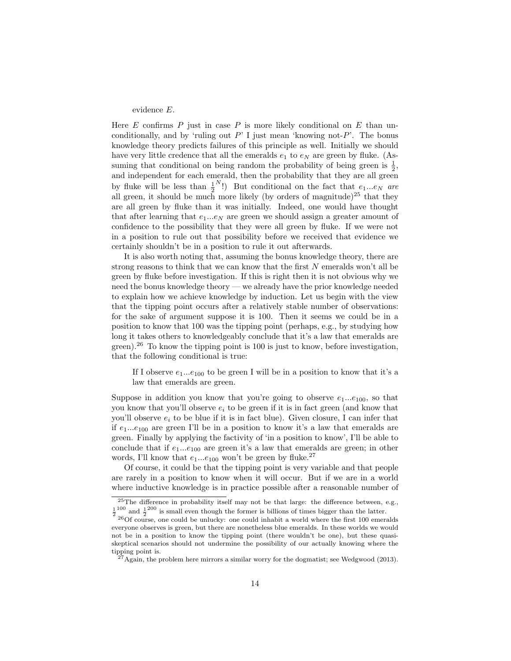#### evidence E.

Here  $E$  confirms  $P$  just in case  $P$  is more likely conditional on  $E$  than unconditionally, and by 'ruling out  $P'$  I just mean 'knowing not- $P'$ . The bonus knowledge theory predicts failures of this principle as well. Initially we should have very little credence that all the emeralds  $e_1$  to  $e_N$  are green by fluke. (Assuming that conditional on being random the probability of being green is  $\frac{1}{2}$ , and independent for each emerald, then the probability that they are all green by fluke will be less than  $\frac{1}{2}$ <sup>N</sup>!) But conditional on the fact that  $e_1...e_N$  are all green, it should be much more likely (by orders of magnitude)<sup>25</sup> that they are all green by fluke than it was initially. Indeed, one would have thought that after learning that  $e_1...e_N$  are green we should assign a greater amount of confidence to the possibility that they were all green by fluke. If we were not in a position to rule out that possibility before we received that evidence we certainly shouldn't be in a position to rule it out afterwards.

It is also worth noting that, assuming the bonus knowledge theory, there are strong reasons to think that we can know that the first  $N$  emeralds won't all be green by fluke before investigation. If this is right then it is not obvious why we need the bonus knowledge theory — we already have the prior knowledge needed to explain how we achieve knowledge by induction. Let us begin with the view that the tipping point occurs after a relatively stable number of observations: for the sake of argument suppose it is 100. Then it seems we could be in a position to know that 100 was the tipping point (perhaps, e.g., by studying how long it takes others to knowledgeably conclude that it's a law that emeralds are green).<sup>26</sup> To know the tipping point is 100 is just to know, before investigation, that the following conditional is true:

If I observe  $e_1...e_{100}$  to be green I will be in a position to know that it's a law that emeralds are green.

Suppose in addition you know that you're going to observe  $e_1...e_{100}$ , so that you know that you'll observe  $e_i$  to be green if it is in fact green (and know that you'll observe  $e_i$  to be blue if it is in fact blue). Given closure, I can infer that if  $e_1...e_{100}$  are green I'll be in a position to know it's a law that emeralds are green. Finally by applying the factivity of 'in a position to know', I'll be able to conclude that if  $e_1...e_{100}$  are green it's a law that emeralds are green; in other words, I'll know that  $e_1...e_{100}$  won't be green by fluke.<sup>27</sup>

Of course, it could be that the tipping point is very variable and that people are rarely in a position to know when it will occur. But if we are in a world where inductive knowledge is in practice possible after a reasonable number of

<sup>25</sup>The difference in probability itself may not be that large: the difference between, e.g.,  $\frac{1}{2}$  and  $\frac{1}{2}$  and  $\frac{1}{2}$  is small even though the former is billions of times bigger than the latter.

 $^{26}$ Of course, one could be unlucky: one could inhabit a world where the first 100 emeralds everyone observes is green, but there are nonetheless blue emeralds. In these worlds we would not be in a position to know the tipping point (there wouldn't be one), but these quasiskeptical scenarios should not undermine the possibility of our actually knowing where the tipping point is.

 $^{27}$ Again, the problem here mirrors a similar worry for the dogmatist; see Wedgwood (2013).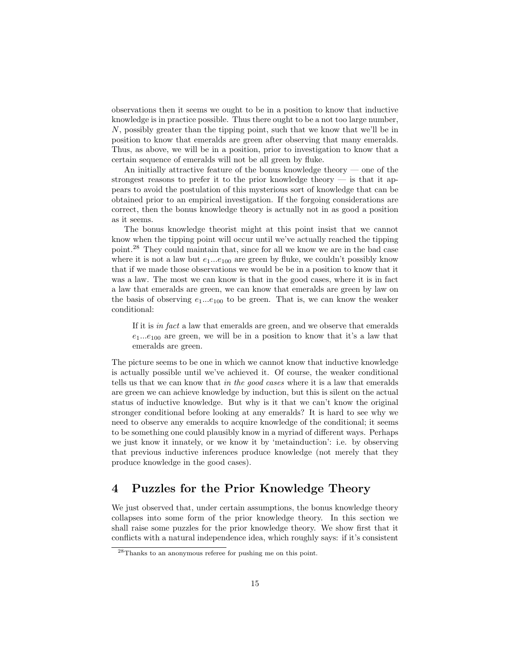observations then it seems we ought to be in a position to know that inductive knowledge is in practice possible. Thus there ought to be a not too large number, N, possibly greater than the tipping point, such that we know that we'll be in position to know that emeralds are green after observing that many emeralds. Thus, as above, we will be in a position, prior to investigation to know that a certain sequence of emeralds will not be all green by fluke.

An initially attractive feature of the bonus knowledge theory — one of the strongest reasons to prefer it to the prior knowledge theory  $-$  is that it appears to avoid the postulation of this mysterious sort of knowledge that can be obtained prior to an empirical investigation. If the forgoing considerations are correct, then the bonus knowledge theory is actually not in as good a position as it seems.

The bonus knowledge theorist might at this point insist that we cannot know when the tipping point will occur until we've actually reached the tipping point.<sup>28</sup> They could maintain that, since for all we know we are in the bad case where it is not a law but  $e_1...e_{100}$  are green by fluke, we couldn't possibly know that if we made those observations we would be be in a position to know that it was a law. The most we can know is that in the good cases, where it is in fact a law that emeralds are green, we can know that emeralds are green by law on the basis of observing  $e_1...e_{100}$  to be green. That is, we can know the weaker conditional:

If it is in fact a law that emeralds are green, and we observe that emeralds  $e_1...e_{100}$  are green, we will be in a position to know that it's a law that emeralds are green.

The picture seems to be one in which we cannot know that inductive knowledge is actually possible until we've achieved it. Of course, the weaker conditional tells us that we can know that in the good cases where it is a law that emeralds are green we can achieve knowledge by induction, but this is silent on the actual status of inductive knowledge. But why is it that we can't know the original stronger conditional before looking at any emeralds? It is hard to see why we need to observe any emeralds to acquire knowledge of the conditional; it seems to be something one could plausibly know in a myriad of different ways. Perhaps we just know it innately, or we know it by 'metainduction': i.e. by observing that previous inductive inferences produce knowledge (not merely that they produce knowledge in the good cases).

# 4 Puzzles for the Prior Knowledge Theory

We just observed that, under certain assumptions, the bonus knowledge theory collapses into some form of the prior knowledge theory. In this section we shall raise some puzzles for the prior knowledge theory. We show first that it conflicts with a natural independence idea, which roughly says: if it's consistent

<sup>28</sup>Thanks to an anonymous referee for pushing me on this point.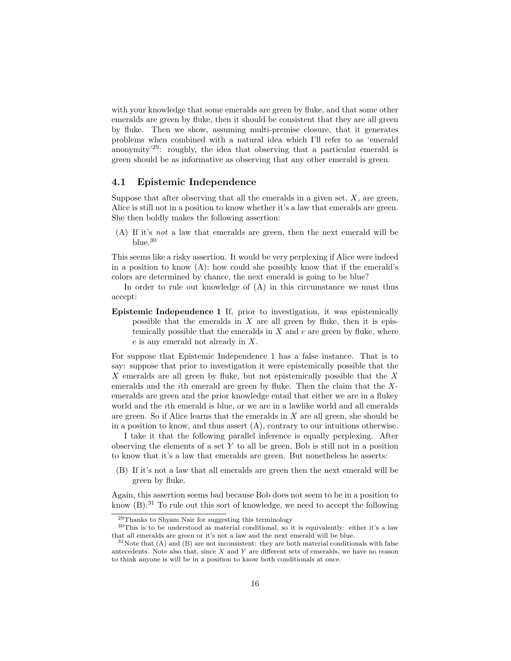with your knowledge that some emeralds are green by fluke, and that some other emeralds are green by fluke, then it should be consistent that they are all green by fluke. Then we show, assuming multi-premise closure, that it generates problems when combined with a natural idea which I'll refer to as 'emerald anonymity<sup>'29</sup>: roughly, the idea that observing that a particular emerald is green should be as informative as observing that any other emerald is green.

#### 4.1 Epistemic Independence

Suppose that after observing that all the emeralds in a given set,  $X$ , are green, Alice is still not in a position to know whether it's a law that emeralds are green. She then boldly makes the following assertion:

(A) If it's *not* a law that emeralds are green, then the next emerald will be blue.<sup>30</sup>

This seems like a risky assertion. It would be very perplexing if Alice were indeed in a position to know  $(A)$ : how could she possibly know that if the emerald's colors are determined by chance, the next emerald is going to be blue?

In order to rule out knowledge of  $(A)$  in this circumstance we must thus accept:

Epistemic Independence 1 If, prior to investigation, it was epistemically possible that the emeralds in  $X$  are all green by fluke, then it is epistemically possible that the emeralds in  $X$  and  $e$  are green by fluke, where e is any emerald not already in X.

For suppose that Epistemic Independence 1 has a false instance. That is to say: suppose that prior to investigation it were epistemically possible that the  $X$  emeralds are all green by fluke, but not epistemically possible that the  $X$ emeralds and the *i*th emerald are green by fluke. Then the claim that the Xemeralds are green and the prior knowledge entail that either we are in a flukey world and the ith emerald is blue, or we are in a lawlike world and all emeralds are green. So if Alice learns that the emeralds in  $X$  are all green, she should be in a position to know, and thus assert (A), contrary to our intuitions otherwise.

I take it that the following parallel inference is equally perplexing. After observing the elements of a set  $Y$  to all be green, Bob is still not in a position to know that it's a law that emeralds are green. But nonetheless he asserts:

(B) If it's not a law that all emeralds are green then the next emerald will be green by fluke.

Again, this assertion seems bad because Bob does not seem to be in a position to know (B).<sup>31</sup> To rule out this sort of knowledge, we need to accept the following

<sup>&</sup>lt;sup>29</sup>Thanks to Shyam Nair for suggesting this terminology

 $30$ This is to be understood as material conditional, so it is equivalently: either it's a law that all emeralds are green or it's not a law and the next emerald will be blue.

 $31$ Note that  $(A)$  and  $(B)$  are not inconsistent: they are both material conditionals with false antecedents. Note also that, since X and Y are different sets of emeralds, we have no reason to think anyone is will be in a position to know both conditionals at once.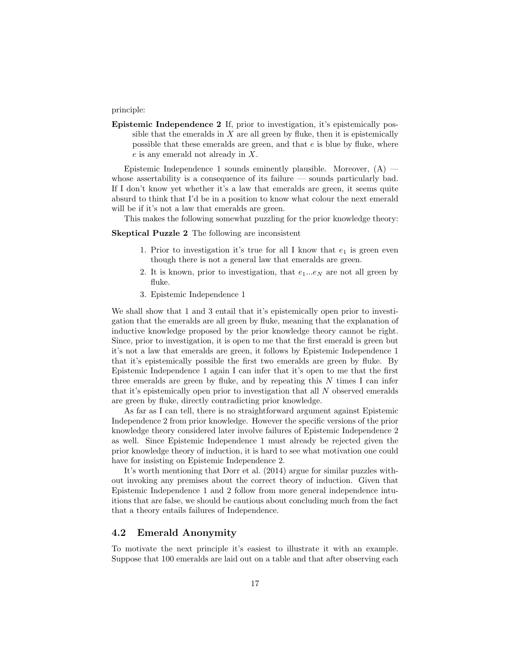#### principle:

Epistemic Independence 2 If, prior to investigation, it's epistemically possible that the emeralds in  $X$  are all green by fluke, then it is epistemically possible that these emeralds are green, and that  $e$  is blue by fluke, where e is any emerald not already in X.

Epistemic Independence 1 sounds eminently plausible. Moreover,  $(A)$  whose assertability is a consequence of its failure — sounds particularly bad. If I don't know yet whether it's a law that emeralds are green, it seems quite absurd to think that I'd be in a position to know what colour the next emerald will be if it's not a law that emeralds are green.

This makes the following somewhat puzzling for the prior knowledge theory:

#### Skeptical Puzzle 2 The following are inconsistent

- 1. Prior to investigation it's true for all I know that  $e_1$  is green even though there is not a general law that emeralds are green.
- 2. It is known, prior to investigation, that  $e_1...e_N$  are not all green by fluke.
- 3. Epistemic Independence 1

We shall show that 1 and 3 entail that it's epistemically open prior to investigation that the emeralds are all green by fluke, meaning that the explanation of inductive knowledge proposed by the prior knowledge theory cannot be right. Since, prior to investigation, it is open to me that the first emerald is green but it's not a law that emeralds are green, it follows by Epistemic Independence 1 that it's epistemically possible the first two emeralds are green by fluke. By Epistemic Independence 1 again I can infer that it's open to me that the first three emeralds are green by fluke, and by repeating this  $N$  times I can infer that it's epistemically open prior to investigation that all N observed emeralds are green by fluke, directly contradicting prior knowledge.

As far as I can tell, there is no straightforward argument against Epistemic Independence 2 from prior knowledge. However the specific versions of the prior knowledge theory considered later involve failures of Epistemic Independence 2 as well. Since Epistemic Independence 1 must already be rejected given the prior knowledge theory of induction, it is hard to see what motivation one could have for insisting on Epistemic Independence 2.

It's worth mentioning that Dorr et al. (2014) argue for similar puzzles without invoking any premises about the correct theory of induction. Given that Epistemic Independence 1 and 2 follow from more general independence intuitions that are false, we should be cautious about concluding much from the fact that a theory entails failures of Independence.

### 4.2 Emerald Anonymity

To motivate the next principle it's easiest to illustrate it with an example. Suppose that 100 emeralds are laid out on a table and that after observing each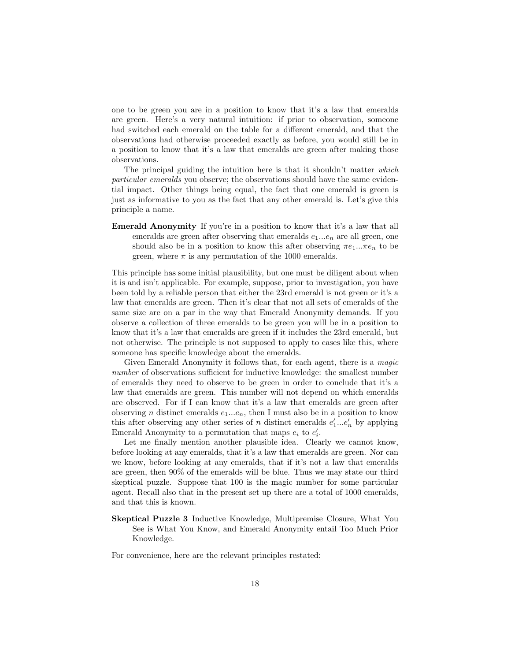one to be green you are in a position to know that it's a law that emeralds are green. Here's a very natural intuition: if prior to observation, someone had switched each emerald on the table for a different emerald, and that the observations had otherwise proceeded exactly as before, you would still be in a position to know that it's a law that emeralds are green after making those observations.

The principal guiding the intuition here is that it shouldn't matter which particular emeralds you observe; the observations should have the same evidential impact. Other things being equal, the fact that one emerald is green is just as informative to you as the fact that any other emerald is. Let's give this principle a name.

Emerald Anonymity If you're in a position to know that it's a law that all emeralds are green after observing that emeralds  $e_1...e_n$  are all green, one should also be in a position to know this after observing  $\pi e_1...\pi e_n$  to be green, where  $\pi$  is any permutation of the 1000 emeralds.

This principle has some initial plausibility, but one must be diligent about when it is and isn't applicable. For example, suppose, prior to investigation, you have been told by a reliable person that either the 23rd emerald is not green or it's a law that emeralds are green. Then it's clear that not all sets of emeralds of the same size are on a par in the way that Emerald Anonymity demands. If you observe a collection of three emeralds to be green you will be in a position to know that it's a law that emeralds are green if it includes the 23rd emerald, but not otherwise. The principle is not supposed to apply to cases like this, where someone has specific knowledge about the emeralds.

Given Emerald Anonymity it follows that, for each agent, there is a *magic* number of observations sufficient for inductive knowledge: the smallest number of emeralds they need to observe to be green in order to conclude that it's a law that emeralds are green. This number will not depend on which emeralds are observed. For if I can know that it's a law that emeralds are green after observing *n* distinct emeralds  $e_1...e_n$ , then I must also be in a position to know this after observing any other series of n distinct emeralds  $e'_1...e'_n$  by applying Emerald Anonymity to a permutation that maps  $e_i$  to  $e'_i$ .

Let me finally mention another plausible idea. Clearly we cannot know, before looking at any emeralds, that it's a law that emeralds are green. Nor can we know, before looking at any emeralds, that if it's not a law that emeralds are green, then 90% of the emeralds will be blue. Thus we may state our third skeptical puzzle. Suppose that 100 is the magic number for some particular agent. Recall also that in the present set up there are a total of 1000 emeralds, and that this is known.

Skeptical Puzzle 3 Inductive Knowledge, Multipremise Closure, What You See is What You Know, and Emerald Anonymity entail Too Much Prior Knowledge.

For convenience, here are the relevant principles restated: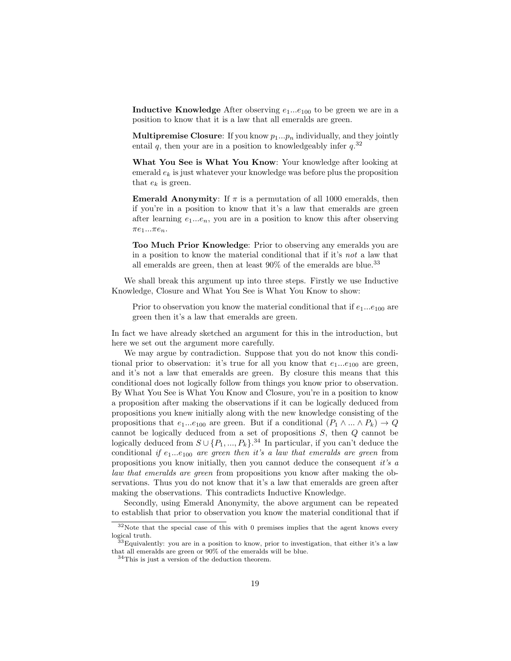**Inductive Knowledge** After observing  $e_1...e_{100}$  to be green we are in a position to know that it is a law that all emeralds are green.

**Multipremise Closure:** If you know  $p_1...p_n$  individually, and they jointly entail  $q$ , then your are in a position to knowledgeably infer  $q^{32}$ 

What You See is What You Know: Your knowledge after looking at emerald  $e_k$  is just whatever your knowledge was before plus the proposition that  $e_k$  is green.

**Emerald Anonymity:** If  $\pi$  is a permutation of all 1000 emeralds, then if you're in a position to know that it's a law that emeralds are green after learning  $e_1...e_n$ , you are in a position to know this after observing  $\pi e_1...\pi e_n.$ 

Too Much Prior Knowledge: Prior to observing any emeralds you are in a position to know the material conditional that if it's not a law that all emeralds are green, then at least  $90\%$  of the emeralds are blue.<sup>33</sup>

We shall break this argument up into three steps. Firstly we use Inductive Knowledge, Closure and What You See is What You Know to show:

Prior to observation you know the material conditional that if  $e_1...e_{100}$  are green then it's a law that emeralds are green.

In fact we have already sketched an argument for this in the introduction, but here we set out the argument more carefully.

We may argue by contradiction. Suppose that you do not know this conditional prior to observation: it's true for all you know that  $e_1...e_{100}$  are green, and it's not a law that emeralds are green. By closure this means that this conditional does not logically follow from things you know prior to observation. By What You See is What You Know and Closure, you're in a position to know a proposition after making the observations if it can be logically deduced from propositions you knew initially along with the new knowledge consisting of the propositions that  $e_1...e_{100}$  are green. But if a conditional  $(P_1 \wedge ... \wedge P_k) \rightarrow Q$ cannot be logically deduced from a set of propositions S, then Q cannot be logically deduced from  $S \cup \{P_1, ..., P_k\}$ .<sup>34</sup> In particular, if you can't deduce the conditional if  $e_1...e_{100}$  are green then it's a law that emeralds are green from propositions you know initially, then you cannot deduce the consequent it's a law that emeralds are green from propositions you know after making the observations. Thus you do not know that it's a law that emeralds are green after making the observations. This contradicts Inductive Knowledge.

Secondly, using Emerald Anonymity, the above argument can be repeated to establish that prior to observation you know the material conditional that if

 $32$ Note that the special case of this with 0 premises implies that the agent knows every logical truth.

 $33$ Equivalently: you are in a position to know, prior to investigation, that either it's a law that all emeralds are green or 90% of the emeralds will be blue.

<sup>34</sup>This is just a version of the deduction theorem.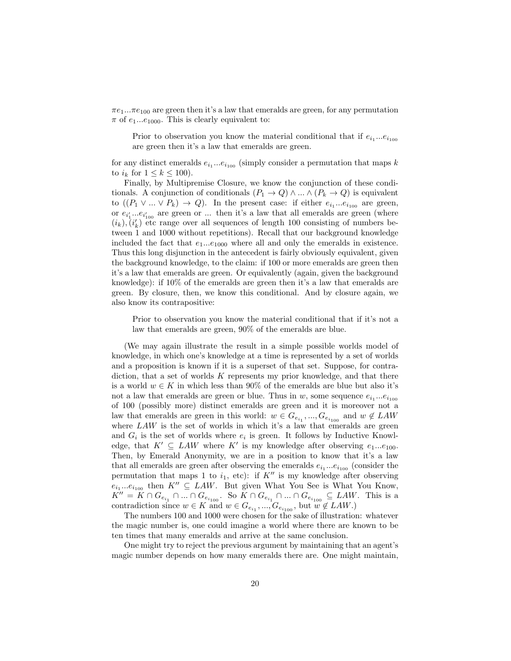$\pi e_1...\pi e_{100}$  are green then it's a law that emeralds are green, for any permutation  $\pi$  of  $e_1...e_{1000}$ . This is clearly equivalent to:

Prior to observation you know the material conditional that if  $e_{i_1}...e_{i_{100}}$ are green then it's a law that emeralds are green.

for any distinct emeralds  $e_{i_1}...e_{i_{100}}$  (simply consider a permutation that maps k to  $i_k$  for  $1 \leq k \leq 100$ ).

Finally, by Multipremise Closure, we know the conjunction of these conditionals. A conjunction of conditionals  $(P_1 \to Q) \land ... \land (P_k \to Q)$  is equivalent to  $((P_1 \vee ... \vee P_k) \rightarrow Q)$ . In the present case: if either  $e_{i_1}...e_{i_{100}}$  are green, or  $e_{i'_1}...e_{i'_{100}}$  are green or ... then it's a law that all emeralds are green (where  $(i_k)$ ,  $(i'_k)$  etc range over all sequences of length 100 consisting of numbers between 1 and 1000 without repetitions). Recall that our background knowledge included the fact that  $e_1...e_{1000}$  where all and only the emeralds in existence. Thus this long disjunction in the antecedent is fairly obviously equivalent, given the background knowledge, to the claim: if 100 or more emeralds are green then it's a law that emeralds are green. Or equivalently (again, given the background knowledge): if 10% of the emeralds are green then it's a law that emeralds are green. By closure, then, we know this conditional. And by closure again, we also know its contrapositive:

Prior to observation you know the material conditional that if it's not a law that emeralds are green, 90% of the emeralds are blue.

(We may again illustrate the result in a simple possible worlds model of knowledge, in which one's knowledge at a time is represented by a set of worlds and a proposition is known if it is a superset of that set. Suppose, for contradiction, that a set of worlds  $K$  represents my prior knowledge, and that there is a world  $w \in K$  in which less than 90% of the emeralds are blue but also it's not a law that emeralds are green or blue. Thus in  $w$ , some sequence  $e_{i_1}...e_{i_{100}}$ of 100 (possibly more) distinct emeralds are green and it is moreover not a law that emeralds are green in this world:  $w \in G_{e_{i_1}}, ..., G_{e_{i_{100}}}$  and  $w \notin LAW$ where  $LAW$  is the set of worlds in which it's a law that emeralds are green and  $G_i$  is the set of worlds where  $e_i$  is green. It follows by Inductive Knowledge, that  $K' \subseteq LAW$  where K' is my knowledge after observing  $e_1...e_{100}$ . Then, by Emerald Anonymity, we are in a position to know that it's a law that all emeralds are green after observing the emeralds  $e_{i_1}...e_{i_{100}}$  (consider the permutation that maps 1 to  $i_1$ , etc): if  $K''$  is my knowledge after observing  $e_{i_1}...e_{i_{100}}$  then  $K'' \subseteq LAW$ . But given What You See is What You Know,  $K'' = \overline{K} \cap G_{e_{i_1}} \cap ... \cap G_{e_{i_{100}}}$ . So  $K \cap G_{e_{i_1}} \cap ... \cap G_{e_{i_{100}}} \subseteq LAW$ . This is a contradiction since  $w \in K$  and  $w \in G_{e_{i_1}}, ..., G_{e_{i_{100}}},$  but  $w \notin LMW$ .)

The numbers 100 and 1000 were chosen for the sake of illustration: whatever the magic number is, one could imagine a world where there are known to be ten times that many emeralds and arrive at the same conclusion.

One might try to reject the previous argument by maintaining that an agent's magic number depends on how many emeralds there are. One might maintain,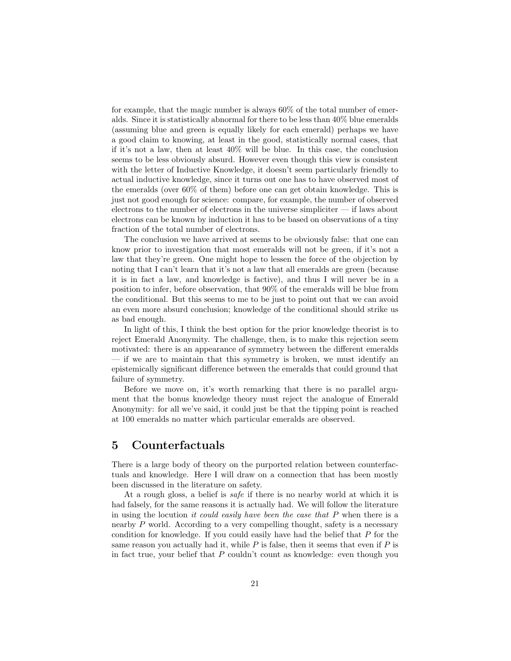for example, that the magic number is always 60% of the total number of emeralds. Since it is statistically abnormal for there to be less than 40% blue emeralds (assuming blue and green is equally likely for each emerald) perhaps we have a good claim to knowing, at least in the good, statistically normal cases, that if it's not a law, then at least 40% will be blue. In this case, the conclusion seems to be less obviously absurd. However even though this view is consistent with the letter of Inductive Knowledge, it doesn't seem particularly friendly to actual inductive knowledge, since it turns out one has to have observed most of the emeralds (over 60% of them) before one can get obtain knowledge. This is just not good enough for science: compare, for example, the number of observed electrons to the number of electrons in the universe simpliciter — if laws about electrons can be known by induction it has to be based on observations of a tiny fraction of the total number of electrons.

The conclusion we have arrived at seems to be obviously false: that one can know prior to investigation that most emeralds will not be green, if it's not a law that they're green. One might hope to lessen the force of the objection by noting that I can't learn that it's not a law that all emeralds are green (because it is in fact a law, and knowledge is factive), and thus I will never be in a position to infer, before observation, that 90% of the emeralds will be blue from the conditional. But this seems to me to be just to point out that we can avoid an even more absurd conclusion; knowledge of the conditional should strike us as bad enough.

In light of this, I think the best option for the prior knowledge theorist is to reject Emerald Anonymity. The challenge, then, is to make this rejection seem motivated: there is an appearance of symmetry between the different emeralds  $\overline{\phantom{a}}$  if we are to maintain that this symmetry is broken, we must identify an epistemically significant difference between the emeralds that could ground that failure of symmetry.

Before we move on, it's worth remarking that there is no parallel argument that the bonus knowledge theory must reject the analogue of Emerald Anonymity: for all we've said, it could just be that the tipping point is reached at 100 emeralds no matter which particular emeralds are observed.

### 5 Counterfactuals

There is a large body of theory on the purported relation between counterfactuals and knowledge. Here I will draw on a connection that has been mostly been discussed in the literature on safety.

At a rough gloss, a belief is safe if there is no nearby world at which it is had falsely, for the same reasons it is actually had. We will follow the literature in using the locution it could easily have been the case that P when there is a nearby  $P$  world. According to a very compelling thought, safety is a necessary condition for knowledge. If you could easily have had the belief that P for the same reason you actually had it, while  $P$  is false, then it seems that even if  $P$  is in fact true, your belief that  $P$  couldn't count as knowledge: even though you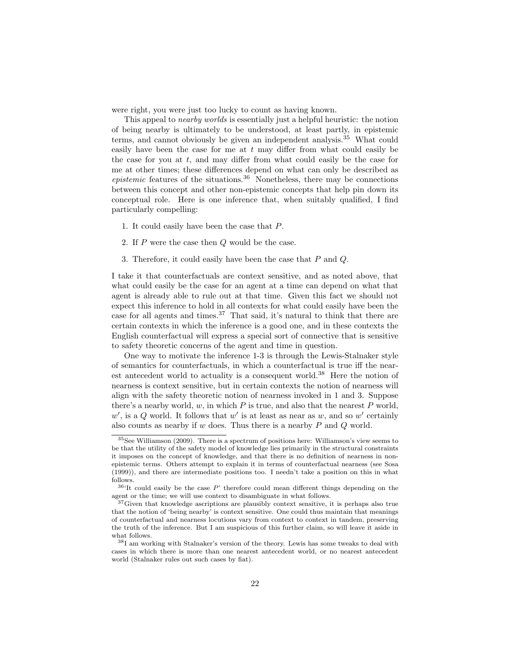were right, you were just too lucky to count as having known.

This appeal to *nearby worlds* is essentially just a helpful heuristic: the notion of being nearby is ultimately to be understood, at least partly, in epistemic terms, and cannot obviously be given an independent analysis.<sup>35</sup> What could easily have been the case for me at  $t$  may differ from what could easily be the case for you at  $t$ , and may differ from what could easily be the case for me at other times; these differences depend on what can only be described as  $epistemic$  features of the situations.<sup>36</sup> Nonetheless, there may be connections between this concept and other non-epistemic concepts that help pin down its conceptual role. Here is one inference that, when suitably qualified, I find particularly compelling:

- 1. It could easily have been the case that P.
- 2. If P were the case then Q would be the case.
- 3. Therefore, it could easily have been the case that P and Q.

I take it that counterfactuals are context sensitive, and as noted above, that what could easily be the case for an agent at a time can depend on what that agent is already able to rule out at that time. Given this fact we should not expect this inference to hold in all contexts for what could easily have been the case for all agents and times.<sup>37</sup> That said, it's natural to think that there are certain contexts in which the inference is a good one, and in these contexts the English counterfactual will express a special sort of connective that is sensitive to safety theoretic concerns of the agent and time in question.

One way to motivate the inference 1-3 is through the Lewis-Stalnaker style of semantics for counterfactuals, in which a counterfactual is true iff the nearest antecedent world to actuality is a consequent world.<sup>38</sup> Here the notion of nearness is context sensitive, but in certain contexts the notion of nearness will align with the safety theoretic notion of nearness invoked in 1 and 3. Suppose there's a nearby world,  $w$ , in which  $P$  is true, and also that the nearest  $P$  world,  $w'$ , is a Q world. It follows that  $w'$  is at least as near as  $w$ , and so  $w'$  certainly also counts as nearby if  $w$  does. Thus there is a nearby  $P$  and  $Q$  world.

<sup>35</sup>See Williamson (2009). There is a spectrum of positions here: Williamson's view seems to be that the utility of the safety model of knowledge lies primarily in the structural constraints it imposes on the concept of knowledge, and that there is no definition of nearness in nonepistemic terms. Others attempt to explain it in terms of counterfactual nearness (see Sosa (1999)), and there are intermediate positions too. I needn't take a position on this in what follows.

 $36'$ <sup>It</sup> could easily be the case P' therefore could mean different things depending on the agent or the time; we will use context to disambiguate in what follows.

<sup>&</sup>lt;sup>37</sup>Given that knowledge ascriptions are plausibly context sensitive, it is perhaps also true that the notion of 'being nearby' is context sensitive. One could thus maintain that meanings of counterfactual and nearness locutions vary from context to context in tandem, preserving the truth of the inference. But I am suspicious of this further claim, so will leave it aside in what follows.

<sup>38</sup>I am working with Stalnaker's version of the theory. Lewis has some tweaks to deal with cases in which there is more than one nearest antecedent world, or no nearest antecedent world (Stalnaker rules out such cases by fiat).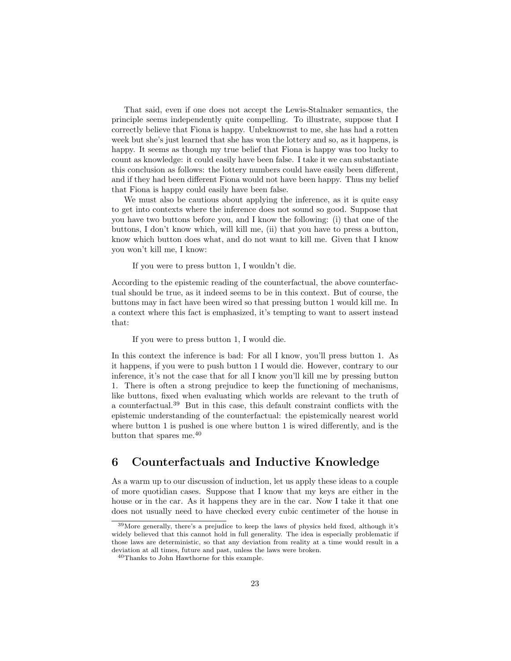That said, even if one does not accept the Lewis-Stalnaker semantics, the principle seems independently quite compelling. To illustrate, suppose that I correctly believe that Fiona is happy. Unbeknownst to me, she has had a rotten week but she's just learned that she has won the lottery and so, as it happens, is happy. It seems as though my true belief that Fiona is happy was too lucky to count as knowledge: it could easily have been false. I take it we can substantiate this conclusion as follows: the lottery numbers could have easily been different, and if they had been different Fiona would not have been happy. Thus my belief that Fiona is happy could easily have been false.

We must also be cautious about applying the inference, as it is quite easy to get into contexts where the inference does not sound so good. Suppose that you have two buttons before you, and I know the following: (i) that one of the buttons, I don't know which, will kill me, (ii) that you have to press a button, know which button does what, and do not want to kill me. Given that I know you won't kill me, I know:

If you were to press button 1, I wouldn't die.

According to the epistemic reading of the counterfactual, the above counterfactual should be true, as it indeed seems to be in this context. But of course, the buttons may in fact have been wired so that pressing button 1 would kill me. In a context where this fact is emphasized, it's tempting to want to assert instead that:

If you were to press button 1, I would die.

In this context the inference is bad: For all I know, you'll press button 1. As it happens, if you were to push button 1 I would die. However, contrary to our inference, it's not the case that for all I know you'll kill me by pressing button 1. There is often a strong prejudice to keep the functioning of mechanisms, like buttons, fixed when evaluating which worlds are relevant to the truth of a counterfactual.<sup>39</sup> But in this case, this default constraint conflicts with the epistemic understanding of the counterfactual: the epistemically nearest world where button 1 is pushed is one where button 1 is wired differently, and is the button that spares me.<sup>40</sup>

# 6 Counterfactuals and Inductive Knowledge

As a warm up to our discussion of induction, let us apply these ideas to a couple of more quotidian cases. Suppose that I know that my keys are either in the house or in the car. As it happens they are in the car. Now I take it that one does not usually need to have checked every cubic centimeter of the house in

<sup>39</sup>More generally, there's a prejudice to keep the laws of physics held fixed, although it's widely believed that this cannot hold in full generality. The idea is especially problematic if those laws are deterministic, so that any deviation from reality at a time would result in a deviation at all times, future and past, unless the laws were broken.

<sup>40</sup>Thanks to John Hawthorne for this example.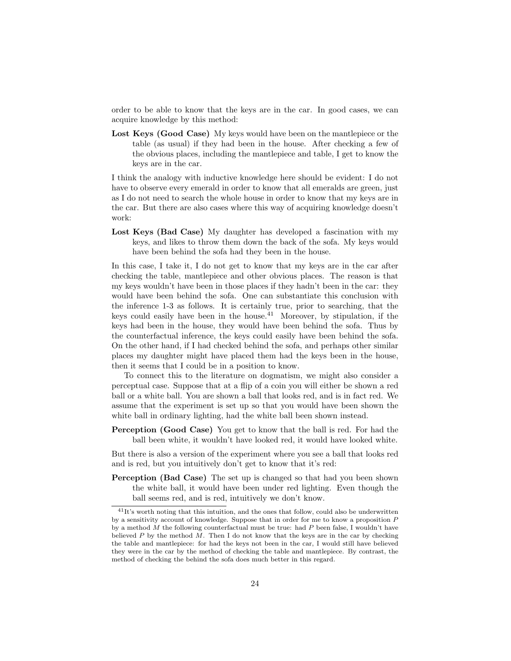order to be able to know that the keys are in the car. In good cases, we can acquire knowledge by this method:

Lost Keys (Good Case) My keys would have been on the mantlepiece or the table (as usual) if they had been in the house. After checking a few of the obvious places, including the mantlepiece and table, I get to know the keys are in the car.

I think the analogy with inductive knowledge here should be evident: I do not have to observe every emerald in order to know that all emeralds are green, just as I do not need to search the whole house in order to know that my keys are in the car. But there are also cases where this way of acquiring knowledge doesn't work:

Lost Keys (Bad Case) My daughter has developed a fascination with my keys, and likes to throw them down the back of the sofa. My keys would have been behind the sofa had they been in the house.

In this case, I take it, I do not get to know that my keys are in the car after checking the table, mantlepiece and other obvious places. The reason is that my keys wouldn't have been in those places if they hadn't been in the car: they would have been behind the sofa. One can substantiate this conclusion with the inference 1-3 as follows. It is certainly true, prior to searching, that the keys could easily have been in the house.<sup>41</sup> Moreover, by stipulation, if the keys had been in the house, they would have been behind the sofa. Thus by the counterfactual inference, the keys could easily have been behind the sofa. On the other hand, if I had checked behind the sofa, and perhaps other similar places my daughter might have placed them had the keys been in the house, then it seems that I could be in a position to know.

To connect this to the literature on dogmatism, we might also consider a perceptual case. Suppose that at a flip of a coin you will either be shown a red ball or a white ball. You are shown a ball that looks red, and is in fact red. We assume that the experiment is set up so that you would have been shown the white ball in ordinary lighting, had the white ball been shown instead.

Perception (Good Case) You get to know that the ball is red. For had the ball been white, it wouldn't have looked red, it would have looked white.

But there is also a version of the experiment where you see a ball that looks red and is red, but you intuitively don't get to know that it's red:

Perception (Bad Case) The set up is changed so that had you been shown the white ball, it would have been under red lighting. Even though the ball seems red, and is red, intuitively we don't know.

<sup>&</sup>lt;sup>41</sup>It's worth noting that this intuition, and the ones that follow, could also be underwritten by a sensitivity account of knowledge. Suppose that in order for me to know a proposition P by a method  $M$  the following counterfactual must be true: had  $P$  been false, I wouldn't have believed  $P$  by the method  $M$ . Then I do not know that the keys are in the car by checking the table and mantlepiece: for had the keys not been in the car, I would still have believed they were in the car by the method of checking the table and mantlepiece. By contrast, the method of checking the behind the sofa does much better in this regard.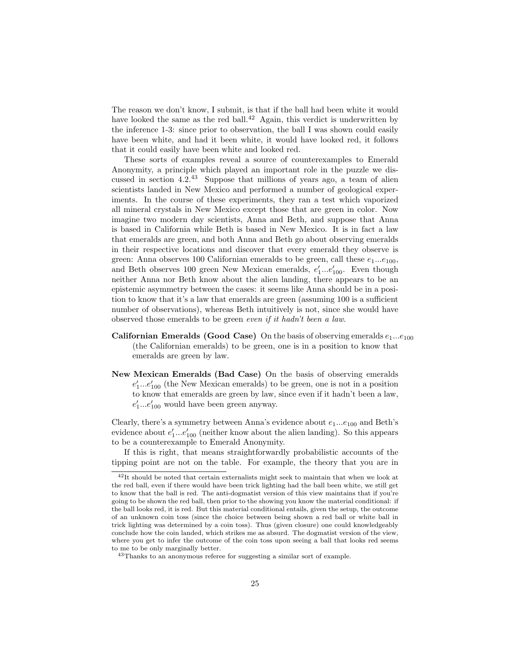The reason we don't know, I submit, is that if the ball had been white it would have looked the same as the red ball.<sup>42</sup> Again, this verdict is underwritten by the inference 1-3: since prior to observation, the ball I was shown could easily have been white, and had it been white, it would have looked red, it follows that it could easily have been white and looked red.

These sorts of examples reveal a source of counterexamples to Emerald Anonymity, a principle which played an important role in the puzzle we discussed in section  $4.2^{43}$  Suppose that millions of years ago, a team of alien scientists landed in New Mexico and performed a number of geological experiments. In the course of these experiments, they ran a test which vaporized all mineral crystals in New Mexico except those that are green in color. Now imagine two modern day scientists, Anna and Beth, and suppose that Anna is based in California while Beth is based in New Mexico. It is in fact a law that emeralds are green, and both Anna and Beth go about observing emeralds in their respective locations and discover that every emerald they observe is green: Anna observes 100 Californian emeralds to be green, call these  $e_1...e_{100}$ , and Beth observes 100 green New Mexican emeralds,  $e'_1...e'_{100}$ . Even though neither Anna nor Beth know about the alien landing, there appears to be an epistemic asymmetry between the cases: it seems like Anna should be in a position to know that it's a law that emeralds are green (assuming 100 is a sufficient number of observations), whereas Beth intuitively is not, since she would have observed those emeralds to be green even if it hadn't been a law.

- **Californian Emeralds (Good Case)** On the basis of observing emeralds  $e_1...e_{100}$ (the Californian emeralds) to be green, one is in a position to know that emeralds are green by law.
- New Mexican Emeralds (Bad Case) On the basis of observing emeralds  $e'_1...e'_{100}$  (the New Mexican emeralds) to be green, one is not in a position to know that emeralds are green by law, since even if it hadn't been a law,  $e'_1...e'_{100}$  would have been green anyway.

Clearly, there's a symmetry between Anna's evidence about  $e_1...e_{100}$  and Beth's evidence about  $e'_1...e'_{100}$  (neither know about the alien landing). So this appears to be a counterexample to Emerald Anonymity.

If this is right, that means straightforwardly probabilistic accounts of the tipping point are not on the table. For example, the theory that you are in

<sup>42</sup>It should be noted that certain externalists might seek to maintain that when we look at the red ball, even if there would have been trick lighting had the ball been white, we still get to know that the ball is red. The anti-dogmatist version of this view maintains that if you're going to be shown the red ball, then prior to the showing you know the material conditional: if the ball looks red, it is red. But this material conditional entails, given the setup, the outcome of an unknown coin toss (since the choice between being shown a red ball or white ball in trick lighting was determined by a coin toss). Thus (given closure) one could knowledgeably conclude how the coin landed, which strikes me as absurd. The dogmatist version of the view, where you get to infer the outcome of the coin toss upon seeing a ball that looks red seems to me to be only marginally better.

<sup>43</sup>Thanks to an anonymous referee for suggesting a similar sort of example.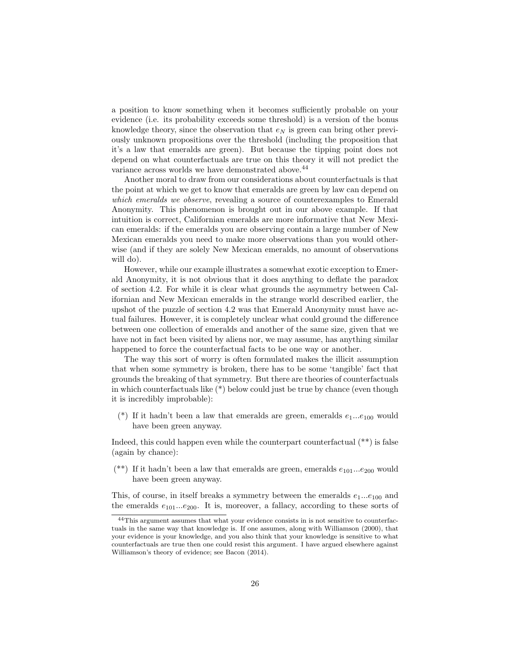a position to know something when it becomes sufficiently probable on your evidence (i.e. its probability exceeds some threshold) is a version of the bonus knowledge theory, since the observation that  $e_N$  is green can bring other previously unknown propositions over the threshold (including the proposition that it's a law that emeralds are green). But because the tipping point does not depend on what counterfactuals are true on this theory it will not predict the variance across worlds we have demonstrated above.<sup>44</sup>

Another moral to draw from our considerations about counterfactuals is that the point at which we get to know that emeralds are green by law can depend on which emeralds we observe, revealing a source of counterexamples to Emerald Anonymity. This phenomenon is brought out in our above example. If that intuition is correct, Californian emeralds are more informative that New Mexican emeralds: if the emeralds you are observing contain a large number of New Mexican emeralds you need to make more observations than you would otherwise (and if they are solely New Mexican emeralds, no amount of observations will do).

However, while our example illustrates a somewhat exotic exception to Emerald Anonymity, it is not obvious that it does anything to deflate the paradox of section 4.2. For while it is clear what grounds the asymmetry between Californian and New Mexican emeralds in the strange world described earlier, the upshot of the puzzle of section 4.2 was that Emerald Anonymity must have actual failures. However, it is completely unclear what could ground the difference between one collection of emeralds and another of the same size, given that we have not in fact been visited by aliens nor, we may assume, has anything similar happened to force the counterfactual facts to be one way or another.

The way this sort of worry is often formulated makes the illicit assumption that when some symmetry is broken, there has to be some 'tangible' fact that grounds the breaking of that symmetry. But there are theories of counterfactuals in which counterfactuals like (\*) below could just be true by chance (even though it is incredibly improbable):

(\*) If it hadn't been a law that emeralds are green, emeralds  $e_1...e_{100}$  would have been green anyway.

Indeed, this could happen even while the counterpart counterfactual  $(**)$  is false (again by chance):

(\*\*) If it hadn't been a law that emeralds are green, emeralds  $e_{101}...e_{200}$  would have been green anyway.

This, of course, in itself breaks a symmetry between the emeralds  $e_1...e_{100}$  and the emeralds  $e_{101}...e_{200}$ . It is, moreover, a fallacy, according to these sorts of

<sup>44</sup>This argument assumes that what your evidence consists in is not sensitive to counterfactuals in the same way that knowledge is. If one assumes, along with Williamson (2000), that your evidence is your knowledge, and you also think that your knowledge is sensitive to what counterfactuals are true then one could resist this argument. I have argued elsewhere against Williamson's theory of evidence; see Bacon (2014).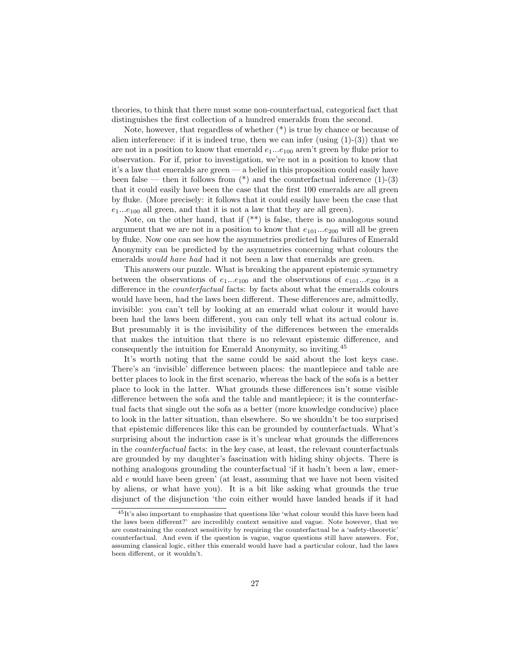theories, to think that there must some non-counterfactual, categorical fact that distinguishes the first collection of a hundred emeralds from the second.

Note, however, that regardless of whether  $(*)$  is true by chance or because of alien interference: if it is indeed true, then we can infer (using  $(1)-(3)$ ) that we are not in a position to know that emerald  $e_1...e_{100}$  aren't green by fluke prior to observation. For if, prior to investigation, we're not in a position to know that it's a law that emeralds are green — a belief in this proposition could easily have been false — then it follows from  $(*)$  and the counterfactual inference  $(1)-(3)$ that it could easily have been the case that the first 100 emeralds are all green by fluke. (More precisely: it follows that it could easily have been the case that  $e_1...e_{100}$  all green, and that it is not a law that they are all green).

Note, on the other hand, that if (\*\*) is false, there is no analogous sound argument that we are not in a position to know that  $e_{101}...e_{200}$  will all be green by fluke. Now one can see how the asymmetries predicted by failures of Emerald Anonymity can be predicted by the asymmetries concerning what colours the emeralds would have had had it not been a law that emeralds are green.

This answers our puzzle. What is breaking the apparent epistemic symmetry between the observations of  $e_1...e_{100}$  and the observations of  $e_{101}...e_{200}$  is a difference in the counterfactual facts: by facts about what the emeralds colours would have been, had the laws been different. These differences are, admittedly, invisible: you can't tell by looking at an emerald what colour it would have been had the laws been different, you can only tell what its actual colour is. But presumably it is the invisibility of the differences between the emeralds that makes the intuition that there is no relevant epistemic difference, and consequently the intuition for Emerald Anonymity, so inviting.<sup>45</sup>

It's worth noting that the same could be said about the lost keys case. There's an 'invisible' difference between places: the mantlepiece and table are better places to look in the first scenario, whereas the back of the sofa is a better place to look in the latter. What grounds these differences isn't some visible difference between the sofa and the table and mantlepiece; it is the counterfactual facts that single out the sofa as a better (more knowledge conducive) place to look in the latter situation, than elsewhere. So we shouldn't be too surprised that epistemic differences like this can be grounded by counterfactuals. What's surprising about the induction case is it's unclear what grounds the differences in the counterfactual facts: in the key case, at least, the relevant counterfactuals are grounded by my daughter's fascination with hiding shiny objects. There is nothing analogous grounding the counterfactual 'if it hadn't been a law, emerald e would have been green' (at least, assuming that we have not been visited by aliens, or what have you). It is a bit like asking what grounds the true disjunct of the disjunction 'the coin either would have landed heads if it had

<sup>45</sup>It's also important to emphasize that questions like 'what colour would this have been had the laws been different?' are incredibly context sensitive and vague. Note however, that we are constraining the context sensitivity by requiring the counterfactual be a 'safety-theoretic' counterfactual. And even if the question is vague, vague questions still have answers. For, assuming classical logic, either this emerald would have had a particular colour, had the laws been different, or it wouldn't.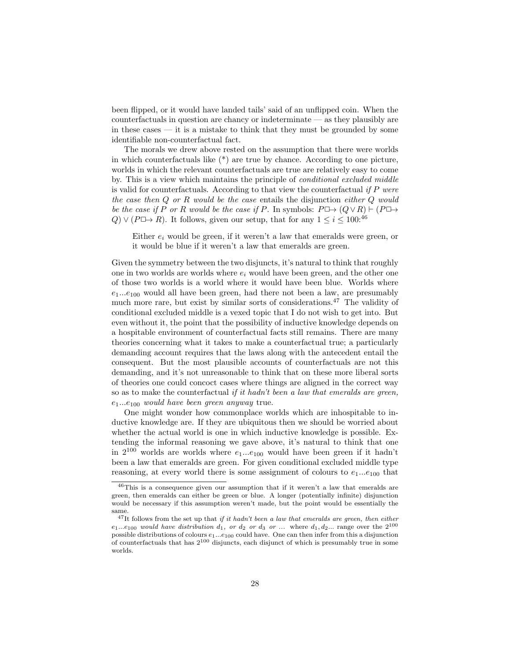been flipped, or it would have landed tails' said of an unflipped coin. When the counterfactuals in question are chancy or indeterminate — as they plausibly are in these cases  $\frac{d}{dx}$  is a mistake to think that they must be grounded by some identifiable non-counterfactual fact.

The morals we drew above rested on the assumption that there were worlds in which counterfactuals like (\*) are true by chance. According to one picture, worlds in which the relevant counterfactuals are true are relatively easy to come by. This is a view which maintains the principle of conditional excluded middle is valid for counterfactuals. According to that view the counterfactual if  $P$  were the case then Q or R would be the case entails the disjunction either Q would be the case if P or R would be the case if P. In symbols:  $P \Box \rightarrow (Q \lor R) \vdash (P \Box \rightarrow$ Q)  $\vee$  (P $\Box \rightarrow R$ ). It follows, given our setup, that for any  $1 \leq i \leq 100$ :<sup>46</sup>

Either  $e_i$  would be green, if it weren't a law that emeralds were green, or it would be blue if it weren't a law that emeralds are green.

Given the symmetry between the two disjuncts, it's natural to think that roughly one in two worlds are worlds where  $e_i$  would have been green, and the other one of those two worlds is a world where it would have been blue. Worlds where  $e_1...e_{100}$  would all have been green, had there not been a law, are presumably much more rare, but exist by similar sorts of considerations.<sup>47</sup> The validity of conditional excluded middle is a vexed topic that I do not wish to get into. But even without it, the point that the possibility of inductive knowledge depends on a hospitable environment of counterfactual facts still remains. There are many theories concerning what it takes to make a counterfactual true; a particularly demanding account requires that the laws along with the antecedent entail the consequent. But the most plausible accounts of counterfactuals are not this demanding, and it's not unreasonable to think that on these more liberal sorts of theories one could concoct cases where things are aligned in the correct way so as to make the counterfactual if it hadn't been a law that emeralds are green,  $e_1...e_{100}$  would have been green anyway true.

One might wonder how commonplace worlds which are inhospitable to inductive knowledge are. If they are ubiquitous then we should be worried about whether the actual world is one in which inductive knowledge is possible. Extending the informal reasoning we gave above, it's natural to think that one in  $2^{100}$  worlds are worlds where  $e_1...e_{100}$  would have been green if it hadn't been a law that emeralds are green. For given conditional excluded middle type reasoning, at every world there is some assignment of colours to  $e_1...e_{100}$  that

<sup>46</sup>This is a consequence given our assumption that if it weren't a law that emeralds are green, then emeralds can either be green or blue. A longer (potentially infinite) disjunction would be necessary if this assumption weren't made, but the point would be essentially the same.

 $^{47}$ It follows from the set up that if it hadn't been a law that emeralds are green, then either e<sub>1</sub>...e<sub>100</sub> would have distribution  $d_1$ , or  $d_2$  or  $d_3$  or ... where  $d_1, d_2$ ... range over the  $2^{100}$ possible distributions of colours  $e_1...e_{100}$  could have. One can then infer from this a disjunction of counterfactuals that has  $2^{100}$  disjuncts, each disjunct of which is presumably true in some worlds.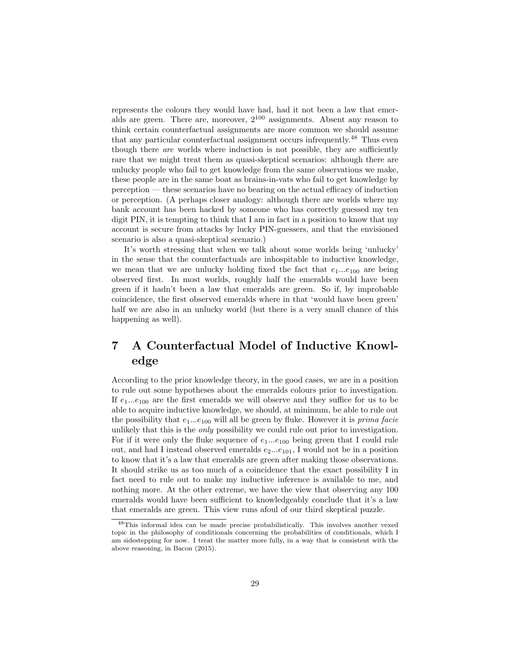represents the colours they would have had, had it not been a law that emeralds are green. There are, moreover,  $2^{100}$  assignments. Absent any reason to think certain counterfactual assignments are more common we should assume that any particular counterfactual assignment occurs infrequently.<sup>48</sup> Thus even though there *are* worlds where induction is not possible, they are sufficiently rare that we might treat them as quasi-skeptical scenarios: although there are unlucky people who fail to get knowledge from the same observations we make, these people are in the same boat as brains-in-vats who fail to get knowledge by perception — these scenarios have no bearing on the actual efficacy of induction or perception. (A perhaps closer analogy: although there are worlds where my bank account has been hacked by someone who has correctly guessed my ten digit PIN, it is tempting to think that I am in fact in a position to know that my account is secure from attacks by lucky PIN-guessers, and that the envisioned scenario is also a quasi-skeptical scenario.)

It's worth stressing that when we talk about some worlds being 'unlucky' in the sense that the counterfactuals are inhospitable to inductive knowledge, we mean that we are unlucky holding fixed the fact that  $e_1...e_{100}$  are being observed first. In most worlds, roughly half the emeralds would have been green if it hadn't been a law that emeralds are green. So if, by improbable coincidence, the first observed emeralds where in that 'would have been green' half we are also in an unlucky world (but there is a very small chance of this happening as well).

# 7 A Counterfactual Model of Inductive Knowledge

According to the prior knowledge theory, in the good cases, we are in a position to rule out some hypotheses about the emeralds colours prior to investigation. If  $e_1...e_{100}$  are the first emeralds we will observe and they suffice for us to be able to acquire inductive knowledge, we should, at minimum, be able to rule out the possibility that  $e_1...e_{100}$  will all be green by fluke. However it is *prima facie* unlikely that this is the *only* possibility we could rule out prior to investigation. For if it were only the fluke sequence of  $e_1...e_{100}$  being green that I could rule out, and had I instead observed emeralds  $e_2...e_{101}$ , I would not be in a position to know that it's a law that emeralds are green after making those observations. It should strike us as too much of a coincidence that the exact possibility I in fact need to rule out to make my inductive inference is available to me, and nothing more. At the other extreme, we have the view that observing any 100 emeralds would have been sufficient to knowledgeably conclude that it's a law that emeralds are green. This view runs afoul of our third skeptical puzzle.

<sup>48</sup>This informal idea can be made precise probabilistically. This involves another vexed topic in the philosophy of conditionals concerning the probabilities of conditionals, which I am sidestepping for now. I treat the matter more fully, in a way that is consistent with the above reasoning, in Bacon (2015).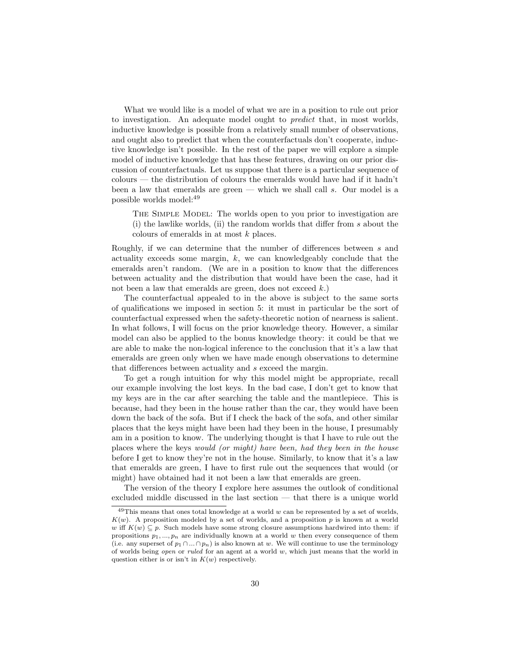What we would like is a model of what we are in a position to rule out prior to investigation. An adequate model ought to predict that, in most worlds, inductive knowledge is possible from a relatively small number of observations, and ought also to predict that when the counterfactuals don't cooperate, inductive knowledge isn't possible. In the rest of the paper we will explore a simple model of inductive knowledge that has these features, drawing on our prior discussion of counterfactuals. Let us suppose that there is a particular sequence of colours — the distribution of colours the emeralds would have had if it hadn't been a law that emeralds are green — which we shall call s. Our model is a possible worlds model:<sup>49</sup>

The Simple Model: The worlds open to you prior to investigation are  $(i)$  the lawlike worlds,  $(ii)$  the random worlds that differ from s about the colours of emeralds in at most k places.

Roughly, if we can determine that the number of differences between s and actuality exceeds some margin,  $k$ , we can knowledgeably conclude that the emeralds aren't random. (We are in a position to know that the differences between actuality and the distribution that would have been the case, had it not been a law that emeralds are green, does not exceed  $k$ .)

The counterfactual appealed to in the above is subject to the same sorts of qualifications we imposed in section 5: it must in particular be the sort of counterfactual expressed when the safety-theoretic notion of nearness is salient. In what follows, I will focus on the prior knowledge theory. However, a similar model can also be applied to the bonus knowledge theory: it could be that we are able to make the non-logical inference to the conclusion that it's a law that emeralds are green only when we have made enough observations to determine that differences between actuality and s exceed the margin.

To get a rough intuition for why this model might be appropriate, recall our example involving the lost keys. In the bad case, I don't get to know that my keys are in the car after searching the table and the mantlepiece. This is because, had they been in the house rather than the car, they would have been down the back of the sofa. But if I check the back of the sofa, and other similar places that the keys might have been had they been in the house, I presumably am in a position to know. The underlying thought is that I have to rule out the places where the keys would (or might) have been, had they been in the house before I get to know they're not in the house. Similarly, to know that it's a law that emeralds are green, I have to first rule out the sequences that would (or might) have obtained had it not been a law that emeralds are green.

The version of the theory I explore here assumes the outlook of conditional excluded middle discussed in the last section — that there is a unique world

<sup>&</sup>lt;sup>49</sup>This means that ones total knowledge at a world w can be represented by a set of worlds.  $K(w)$ . A proposition modeled by a set of worlds, and a proposition p is known at a world w iff  $K(w) \subseteq p$ . Such models have some strong closure assumptions hardwired into them: if propositions  $p_1, ..., p_n$  are individually known at a world w then every consequence of them (i.e. any superset of  $p_1 \cap \ldots \cap p_n$ ) is also known at w. We will continue to use the terminology of worlds being *open* or *ruled* for an agent at a world  $w$ , which just means that the world in question either is or isn't in  $K(w)$  respectively.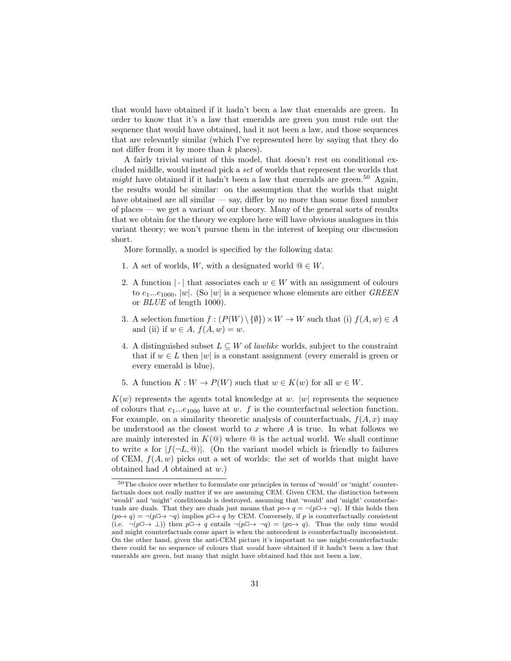that would have obtained if it hadn't been a law that emeralds are green. In order to know that it's a law that emeralds are green you must rule out the sequence that would have obtained, had it not been a law, and those sequences that are relevantly similar (which I've represented here by saying that they do not differ from it by more than  $k$  places).

A fairly trivial variant of this model, that doesn't rest on conditional excluded middle, would instead pick a set of worlds that represent the worlds that might have obtained if it hadn't been a law that emeralds are green.<sup>50</sup> Again, the results would be similar: on the assumption that the worlds that might have obtained are all similar — say, differ by no more than some fixed number of places — we get a variant of our theory. Many of the general sorts of results that we obtain for the theory we explore here will have obvious analogues in this variant theory; we won't pursue them in the interest of keeping our discussion short.

More formally, a model is specified by the following data:

- 1. A set of worlds, W, with a designated world  $@ \in W$ .
- 2. A function  $|\cdot|$  that associates each  $w \in W$  with an assignment of colours to  $e_1...e_{1000}$ , |w|. (So |w| is a sequence whose elements are either *GREEN* or BLUE of length 1000).
- 3. A selection function  $f : (P(W) \setminus \{\emptyset\}) \times W \to W$  such that (i)  $f(A, w) \in A$ and (ii) if  $w \in A$ ,  $f(A, w) = w$ .
- 4. A distinguished subset  $L \subseteq W$  of *lawlike* worlds, subject to the constraint that if  $w \in L$  then |w| is a constant assignment (every emerald is green or every emerald is blue).
- 5. A function  $K: W \to P(W)$  such that  $w \in K(w)$  for all  $w \in W$ .

 $K(w)$  represents the agents total knowledge at w. |w| represents the sequence of colours that  $e_1...e_{1000}$  have at w. f is the counterfactual selection function. For example, on a similarity theoretic analysis of counterfactuals,  $f(A, x)$  may be understood as the closest world to x where  $A$  is true. In what follows we are mainly interested in  $K(\mathbb{Q})$  where  $\mathbb Q$  is the actual world. We shall continue to write s for  $|f(-L, \mathbb{Q})|$ . (On the variant model which is friendly to failures of CEM,  $f(A, w)$  picks out a set of worlds: the set of worlds that might have obtained had A obtained at w.)

 $^{50}\mathrm{The}$  choice over whether to formulate our principles in terms of 'would' or 'might' counterfactuals does not really matter if we are assuming CEM. Given CEM, the distinction between 'would' and 'might' conditionals is destroyed, assuming that 'would' and 'might' counterfactuals are duals. That they are duals just means that  $p \rightarrow q = \neg(p \Box \rightarrow \neg q)$ . If this holds then  $(p \leftrightarrow q) = \neg(p \Box \rightarrow \neg q)$  implies  $p \Box \rightarrow q$  by CEM. Conversely, if p is counterfactually consistent (i.e.  $\neg(p \Box \rightarrow \bot)$ ) then  $p \Box \rightarrow q$  entails  $\neg(p \Box \rightarrow \neg q) = (p \leftrightarrow q)$ . Thus the only time would and might counterfactuals come apart is when the antecedent is counterfactually inconsistent. On the other hand, given the anti-CEM picture it's important to use might-counterfactuals: there could be no sequence of colours that would have obtained if it hadn't been a law that emeralds are green, but many that might have obtained had this not been a law.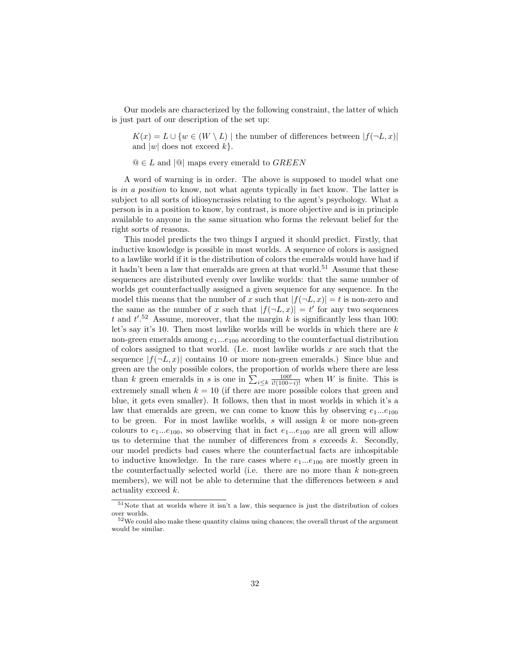Our models are characterized by the following constraint, the latter of which is just part of our description of the set up:

 $K(x) = L \cup \{w \in (W \setminus L) \mid \text{the number of differences between } |f(\neg L, x)|\}$ and  $|w|$  does not exceed  $k$ .

 $\mathbb{Q} \in L$  and  $|\mathbb{Q}|$  maps every emerald to  $GREEN$ 

A word of warning is in order. The above is supposed to model what one is in a position to know, not what agents typically in fact know. The latter is subject to all sorts of idiosyncrasies relating to the agent's psychology. What a person is in a position to know, by contrast, is more objective and is in principle available to anyone in the same situation who forms the relevant belief for the right sorts of reasons.

This model predicts the two things I argued it should predict. Firstly, that inductive knowledge is possible in most worlds. A sequence of colors is assigned to a lawlike world if it is the distribution of colors the emeralds would have had if it hadn't been a law that emeralds are green at that world.<sup>51</sup> Assume that these sequences are distributed evenly over lawlike worlds: that the same number of worlds get counterfactually assigned a given sequence for any sequence. In the model this means that the number of x such that  $|f(-L, x)| = t$  is non-zero and the same as the number of x such that  $|f(\neg L, x)| = t'$  for any two sequences t and  $t'$ .<sup>52</sup> Assume, moreover, that the margin k is significantly less than 100: let's say it's 10. Then most lawlike worlds will be worlds in which there are  $k$ non-green emeralds among  $e_1...e_{100}$  according to the counterfactual distribution of colors assigned to that world. (I.e. most lawlike worlds  $x$  are such that the sequence  $|f(-L, x)|$  contains 10 or more non-green emeralds.) Since blue and green are the only possible colors, the proportion of worlds where there are less than k green emeralds in s is one in  $\sum_{i\leq k} \frac{100!}{i!(100-i)!}$  when W is finite. This is extremely small when  $k = 10$  (if there are more possible colors that green and blue, it gets even smaller). It follows, then that in most worlds in which it's a law that emeralds are green, we can come to know this by observing  $e_1...e_{100}$ to be green. For in most lawlike worlds,  $s$  will assign  $k$  or more non-green colours to  $e_1...e_{100}$ , so observing that in fact  $e_1...e_{100}$  are all green will allow us to determine that the number of differences from  $s$  exceeds  $k$ . Secondly, our model predicts bad cases where the counterfactual facts are inhospitable to inductive knowledge. In the rare cases where  $e_1...e_{100}$  are mostly green in the counterfactually selected world (i.e. there are no more than  $k$  non-green members), we will not be able to determine that the differences between s and actuality exceed k.

<sup>51</sup>Note that at worlds where it isn't a law, this sequence is just the distribution of colors over worlds.

<sup>52</sup>We could also make these quantity claims using chances; the overall thrust of the argument would be similar.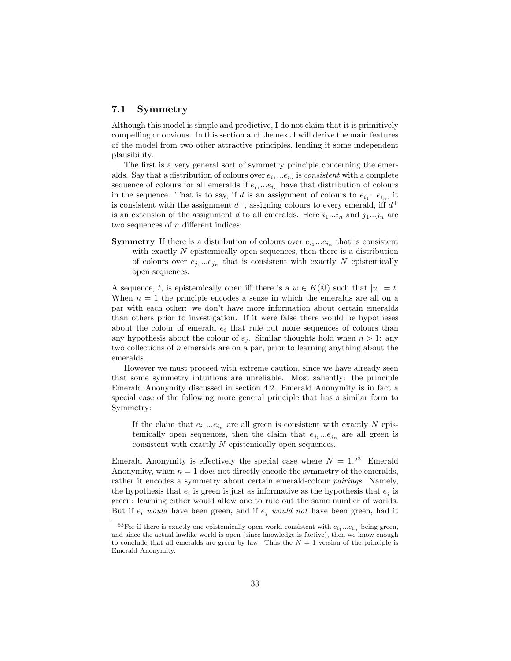### 7.1 Symmetry

Although this model is simple and predictive, I do not claim that it is primitively compelling or obvious. In this section and the next I will derive the main features of the model from two other attractive principles, lending it some independent plausibility.

The first is a very general sort of symmetry principle concerning the emeralds. Say that a distribution of colours over  $e_{i_1}...e_{i_n}$  is *consistent* with a complete sequence of colours for all emeralds if  $e_{i_1}...e_{i_n}$  have that distribution of colours in the sequence. That is to say, if d is an assignment of colours to  $e_{i_1}...e_{i_n}$ , it is consistent with the assignment  $d^+$ , assigning colours to every emerald, iff  $d^+$ is an extension of the assignment d to all emeralds. Here  $i_1...i_n$  and  $j_1...j_n$  are two sequences of  $n$  different indices:

**Symmetry** If there is a distribution of colours over  $e_{i_1}...e_{i_n}$  that is consistent with exactly  $N$  epistemically open sequences, then there is a distribution of colours over  $e_{j_1}...e_{j_n}$  that is consistent with exactly N epistemically open sequences.

A sequence, t, is epistemically open iff there is a  $w \in K(\mathbb{Q})$  such that  $|w| = t$ . When  $n = 1$  the principle encodes a sense in which the emeralds are all on a par with each other: we don't have more information about certain emeralds than others prior to investigation. If it were false there would be hypotheses about the colour of emerald  $e_i$  that rule out more sequences of colours than any hypothesis about the colour of  $e_i$ . Similar thoughts hold when  $n > 1$ : any two collections of  $n$  emeralds are on a par, prior to learning anything about the emeralds.

However we must proceed with extreme caution, since we have already seen that some symmetry intuitions are unreliable. Most saliently: the principle Emerald Anonymity discussed in section 4.2. Emerald Anonymity is in fact a special case of the following more general principle that has a similar form to Symmetry:

If the claim that  $e_{i_1}...e_{i_n}$  are all green is consistent with exactly N epistemically open sequences, then the claim that  $e_{j_1}...e_{j_n}$  are all green is consistent with exactly N epistemically open sequences.

Emerald Anonymity is effectively the special case where  $N = 1.53$  Emerald Anonymity, when  $n = 1$  does not directly encode the symmetry of the emeralds, rather it encodes a symmetry about certain emerald-colour pairings. Namely, the hypothesis that  $e_i$  is green is just as informative as the hypothesis that  $e_j$  is green: learning either would allow one to rule out the same number of worlds. But if  $e_i$  would have been green, and if  $e_j$  would not have been green, had it

<sup>&</sup>lt;sup>53</sup>For if there is exactly one epistemically open world consistent with  $e_{i_1}...e_{i_n}$  being green, and since the actual lawlike world is open (since knowledge is factive), then we know enough to conclude that all emeralds are green by law. Thus the  $N = 1$  version of the principle is Emerald Anonymity.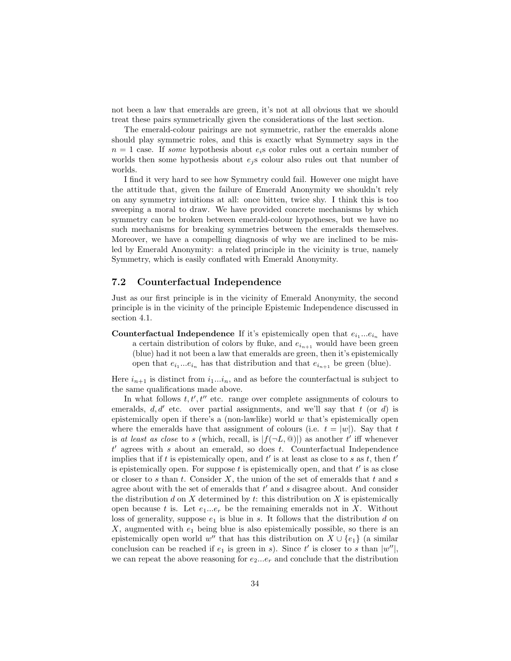not been a law that emeralds are green, it's not at all obvious that we should treat these pairs symmetrically given the considerations of the last section.

The emerald-colour pairings are not symmetric, rather the emeralds alone should play symmetric roles, and this is exactly what Symmetry says in the  $n = 1$  case. If some hypothesis about  $e_i$ s color rules out a certain number of worlds then some hypothesis about  $e_i$ s colour also rules out that number of worlds.

I find it very hard to see how Symmetry could fail. However one might have the attitude that, given the failure of Emerald Anonymity we shouldn't rely on any symmetry intuitions at all: once bitten, twice shy. I think this is too sweeping a moral to draw. We have provided concrete mechanisms by which symmetry can be broken between emerald-colour hypotheses, but we have no such mechanisms for breaking symmetries between the emeralds themselves. Moreover, we have a compelling diagnosis of why we are inclined to be misled by Emerald Anonymity: a related principle in the vicinity is true, namely Symmetry, which is easily conflated with Emerald Anonymity.

### 7.2 Counterfactual Independence

Just as our first principle is in the vicinity of Emerald Anonymity, the second principle is in the vicinity of the principle Epistemic Independence discussed in section 4.1.

**Counterfactual Independence** If it's epistemically open that  $e_{i_1}...e_{i_n}$  have a certain distribution of colors by fluke, and  $e_{i_{n+1}}$  would have been green (blue) had it not been a law that emeralds are green, then it's epistemically open that  $e_{i_1}...e_{i_n}$  has that distribution and that  $e_{i_{n+1}}$  be green (blue).

Here  $i_{n+1}$  is distinct from  $i_1...i_n$ , and as before the counterfactual is subject to the same qualifications made above.

In what follows  $t, t', t''$  etc. range over complete assignments of colours to emeralds,  $d, d'$  etc. over partial assignments, and we'll say that t (or d) is epistemically open if there's a (non-lawlike) world  $w$  that's epistemically open where the emeralds have that assignment of colours (i.e.  $t = |w|$ ). Say that t is at least as close to s (which, recall, is  $|f(\neg L, \mathcal{Q})|$ ) as another t' iff whenever  $t'$  agrees with s about an emerald, so does  $t$ . Counterfactual Independence implies that if t is epistemically open, and  $t'$  is at least as close to s as t, then  $t'$ is epistemically open. For suppose  $t$  is epistemically open, and that  $t'$  is as close or closer to s than  $t$ . Consider  $X$ , the union of the set of emeralds that  $t$  and  $s$ agree about with the set of emeralds that  $t'$  and  $s$  disagree about. And consider the distribution d on X determined by t: this distribution on X is epistemically open because t is. Let  $e_1...e_r$  be the remaining emeralds not in X. Without loss of generality, suppose  $e_1$  is blue in s. It follows that the distribution d on X, augmented with  $e_1$  being blue is also epistemically possible, so there is an epistemically open world w'' that has this distribution on  $X \cup \{e_1\}$  (a similar conclusion can be reached if  $e_1$  is green in s). Since t' is closer to s than  $|w''|$ , we can repeat the above reasoning for  $e_2...e_r$  and conclude that the distribution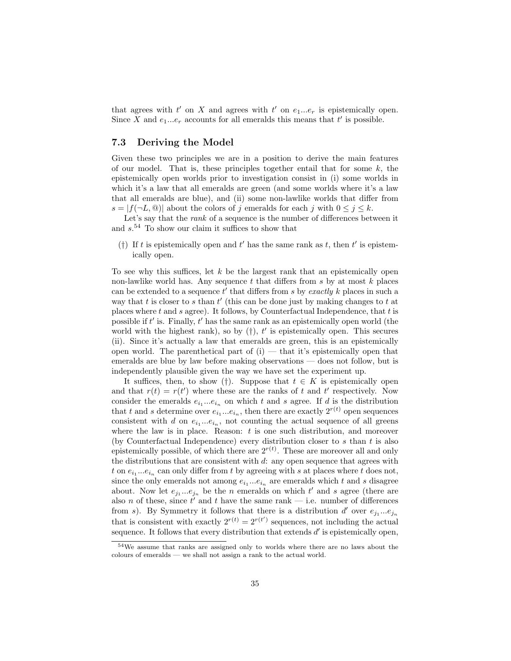that agrees with  $t'$  on X and agrees with  $t'$  on  $e_1...e_r$  is epistemically open. Since X and  $e_1...e_r$  accounts for all emeralds this means that  $t'$  is possible.

### 7.3 Deriving the Model

Given these two principles we are in a position to derive the main features of our model. That is, these principles together entail that for some  $k$ , the epistemically open worlds prior to investigation consist in (i) some worlds in which it's a law that all emeralds are green (and some worlds where it's a law that all emeralds are blue), and (ii) some non-lawlike worlds that differ from  $s = |f(\neg L, \mathcal{Q})|$  about the colors of j emeralds for each j with  $0 \leq j \leq k$ .

Let's say that the *rank* of a sequence is the number of differences between it and  $s$ <sup>54</sup> To show our claim it suffices to show that

(†) If t is epistemically open and t' has the same rank as t, then t' is epistemically open.

To see why this suffices, let  $k$  be the largest rank that an epistemically open non-lawlike world has. Any sequence t that differs from s by at most  $k$  places can be extended to a sequence  $t'$  that differs from s by exactly k places in such a way that  $t$  is closer to  $s$  than  $t'$  (this can be done just by making changes to  $t$  at places where  $t$  and  $s$  agree). It follows, by Counterfactual Independence, that  $t$  is possible if  $t'$  is. Finally,  $t'$  has the same rank as an epistemically open world (the world with the highest rank), so by  $(\dagger)$ ,  $t'$  is epistemically open. This secures (ii). Since it's actually a law that emeralds are green, this is an epistemically open world. The parenthetical part of  $(i)$  — that it's epistemically open that emeralds are blue by law before making observations — does not follow, but is independently plausible given the way we have set the experiment up.

It suffices, then, to show (†). Suppose that  $t \in K$  is epistemically open and that  $r(t) = r(t')$  where these are the ranks of t and t' respectively. Now consider the emeralds  $e_{i_1}...e_{i_n}$  on which t and s agree. If d is the distribution that t and s determine over  $e_{i_1}...e_{i_n}$ , then there are exactly  $2^{r(t)}$  open sequences consistent with d on  $e_{i_1}...e_{i_n}$ , not counting the actual sequence of all greens where the law is in place. Reason:  $t$  is one such distribution, and moreover (by Counterfactual Independence) every distribution closer to  $s$  than  $t$  is also epistemically possible, of which there are  $2^{r(t)}$ . These are moreover all and only the distributions that are consistent with  $d$ : any open sequence that agrees with t on  $e_{i_1}...e_{i_n}$  can only differ from t by agreeing with s at places where t does not, since the only emeralds not among  $e_{i_1}...e_{i_n}$  are emeralds which t and s disagree about. Now let  $e_{j_1}...e_{j_n}$  be the *n* emeralds on which  $t'$  and *s* agree (there are also *n* of these, since  $t'$  and  $t$  have the same rank — i.e. number of differences from s). By Symmetry it follows that there is a distribution  $d'$  over  $e_{j_1}...e_{j_n}$ that is consistent with exactly  $2^{r(t)} = 2^{r(t')}$  sequences, not including the actual sequence. It follows that every distribution that extends  $d'$  is epistemically open,

<sup>54</sup>We assume that ranks are assigned only to worlds where there are no laws about the colours of emeralds — we shall not assign a rank to the actual world.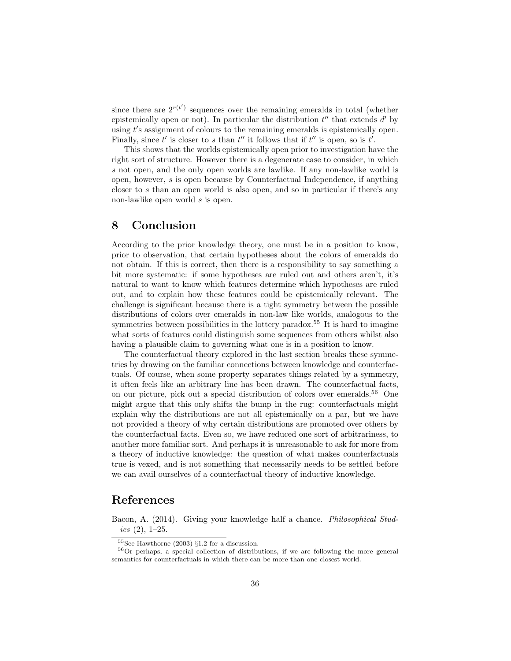since there are  $2^{r(t')}$  sequences over the remaining emeralds in total (whether epistemically open or not). In particular the distribution  $t''$  that extends  $d'$  by using  $t$ 's assignment of colours to the remaining emeralds is epistemically open. Finally, since t' is closer to s than  $t''$  it follows that if  $t''$  is open, so is  $t'$ .

This shows that the worlds epistemically open prior to investigation have the right sort of structure. However there is a degenerate case to consider, in which s not open, and the only open worlds are lawlike. If any non-lawlike world is open, however, s is open because by Counterfactual Independence, if anything closer to s than an open world is also open, and so in particular if there's any non-lawlike open world s is open.

# 8 Conclusion

According to the prior knowledge theory, one must be in a position to know, prior to observation, that certain hypotheses about the colors of emeralds do not obtain. If this is correct, then there is a responsibility to say something a bit more systematic: if some hypotheses are ruled out and others aren't, it's natural to want to know which features determine which hypotheses are ruled out, and to explain how these features could be epistemically relevant. The challenge is significant because there is a tight symmetry between the possible distributions of colors over emeralds in non-law like worlds, analogous to the symmetries between possibilities in the lottery paradox.<sup>55</sup> It is hard to imagine what sorts of features could distinguish some sequences from others whilst also having a plausible claim to governing what one is in a position to know.

The counterfactual theory explored in the last section breaks these symmetries by drawing on the familiar connections between knowledge and counterfactuals. Of course, when some property separates things related by a symmetry, it often feels like an arbitrary line has been drawn. The counterfactual facts, on our picture, pick out a special distribution of colors over emeralds.<sup>56</sup> One might argue that this only shifts the bump in the rug: counterfactuals might explain why the distributions are not all epistemically on a par, but we have not provided a theory of why certain distributions are promoted over others by the counterfactual facts. Even so, we have reduced one sort of arbitrariness, to another more familiar sort. And perhaps it is unreasonable to ask for more from a theory of inductive knowledge: the question of what makes counterfactuals true is vexed, and is not something that necessarily needs to be settled before we can avail ourselves of a counterfactual theory of inductive knowledge.

# References

Bacon, A. (2014). Giving your knowledge half a chance. Philosophical Studies (2), 1–25.

 $55$ See Hawthorne (2003) §1.2 for a discussion.

<sup>56</sup>Or perhaps, a special collection of distributions, if we are following the more general semantics for counterfactuals in which there can be more than one closest world.